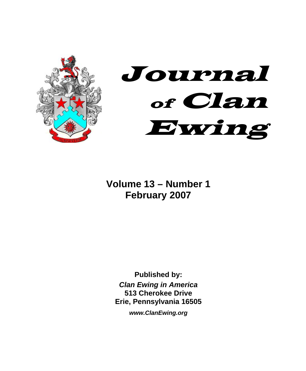



**Volume 13 – Number 1 February 2007** 

**Published by:**  *Clan Ewing in America*  **513 Cherokee Drive Erie, Pennsylvania 16505** 

*www.ClanEwing.org*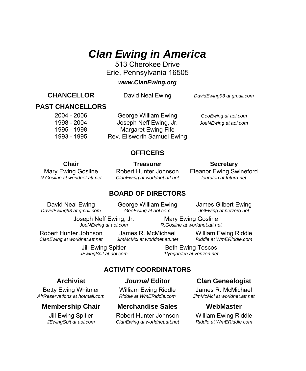# *Clan Ewing in America*

513 Cherokee Drive Erie, Pennsylvania 16505

#### *www.ClanEwing.org*

**CHANCELLOR** David Neal Ewing*DavidEwing93 at gmail.com*

### **PAST CHANCELLORS**

 2004 - 2006 George William Ewing *GeoEwing at aol.com* 1998 - 2004 Joseph Neff Ewing, Jr. *JoeNEwing at aol.com* 1995 - 1998 Margaret Ewing Fife 1993 - 1995 Rev. Ellsworth Samuel Ewing

#### **OFFICERS**

**Chair** Treasurer Secretary

Mary Ewing Gosline Robert Hunter Johnson Eleanor Ewing Swineford<br>R. Gosline at worldnet.att.net ClanEwing at worldnet.att.net louruton at futura.net *R.Gosline at worldnet.att.net ClanEwing at worldnet.att.net louruton at futura.net*

#### **BOARD OF DIRECTORS**

 *DavidEwing93 at gmail.com GeoEwing at aol.com JGEwing at netzero.net* 

David Neal Ewing George William Ewing James Gilbert Ewing

 Joseph Neff Ewing, Jr. Mary Ewing Gosline  *JoeNEwing at aol.com R.Gosline at worldnet.att.net* 

Robert Hunter Johnson James R. McMichael William Ewing Riddle<br>ClanEwing at worldnet att net JimMcMcLat worldnet att net Riddle at WmERiddle com

*ClanEwing at worldnet.att.net JimMcMcl at worldnet.att.net* 

Jill Ewing Spitler Beth Ewing Toscos  *JEwingSpit at aol.com 1lyngarden at verizon.net* 

## **ACTIVITY COORDINATORS**

Betty Ewing Whitmer William Ewing Riddle James R. McMichael<br>rReservations at hotmail com Riddle at WmERiddle com JimMcMcLat worldnet att ne  *AirReservations at hotmail.com Riddle at WmERiddle.com JimMcMcl at worldnet.att.net* 

#### **Membership Chair Merchandise Sales WebMaster**

Jill Ewing Spitler **Robert Hunter Johnson** William Ewing Riddle<br>JEwing Spit at aol.com Clan Ewing at worldnet.att.net Riddle at WmERiddle.com *ClanEwing at worldnet.att.net Riddle at WmERiddle.com* 

### **Archivist** *Journal* **Editor Clan Genealogist**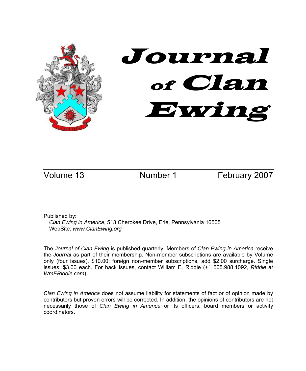

Volume 13 Mumber 1 February 2007

Published by:

*Clan Ewing in America*, 513 Cherokee Drive, Erie, Pennsylvania 16505 WebSite: *www.ClanEwing.org*

The *Journal of Clan Ewing* is published quarterly. Members of *Clan Ewing in America* receive the *Journal* as part of their membership. Non-member subscriptions are available by Volume only (four issues), \$10.00; foreign non-member subscriptions, add \$2.00 surcharge. Single issues, \$3.00 each. For back issues, contact William E. Riddle (+1 505.988.1092, *Riddle at WmERiddle.com*).

*Clan Ewing in America* does not assume liability for statements of fact or of opinion made by contributors but proven errors will be corrected. In addition, the opinions of contributors are not necessarily those of *Clan Ewing in America* or its officers, board members or activity coordinators.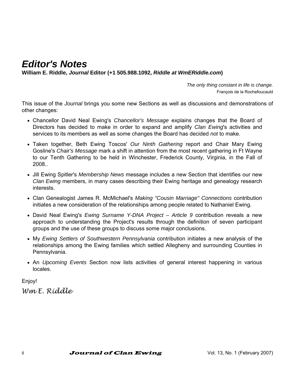# *Editor's Notes*

**William E. Riddle,** *Journal* **Editor (+1 505.988.1092,** *Riddle at WmERiddle.com***)** 

*The only thing constant in life is change.*  François de la Rochefoucauld

This issue of the *Journal* brings you some new Sections as well as discussions and demonstrations of other changes:

- Chancellor David Neal Ewing's *Chancellor's Message* explains changes that the Board of Directors has decided to make in order to expand and amplify *Clan Ewing*'s activities and services to its members as well as some changes the Board has decided *not* to make.
- Taken together, Beth Ewing Toscos' *Our Ninth Gathering* report and Chair Mary Ewing Gosline's *Chair's Message* mark a shift in attention from the most recent gathering in Ft Wayne to our Tenth Gathering to be held in Winchester, Frederick County, Virginia, in the Fall of 2008..
- Jill Ewing Spitler's *Membership News* message includes a new Section that identifies our new *Clan Ewing* members, in many cases describing their Ewing heritage and genealogy research interests.
- Clan Genealogist James R. McMichael's *Making "Cousin Marriage" Connections* contribution initiates a new consideration of the relationships among people related to Nathaniel Ewing.
- David Neal Ewing's *Ewing Surname Y-DNA Project Article 9* contribution reveals a new approach to understanding the Project's results through the definition of seven participant groups and the use of these groups to discuss some major conclusions.
- My *Ewing Settlers of Southwestern Pennsylvania* contribution initiates a new analysis of the relationships among the Ewing families which settled Allegheny and surrounding Counties in Pennsylvania.
- An *Upcoming Events* Section now lists activities of general interest happening in various locales.

Enjoy!

*Wm E. Riddle*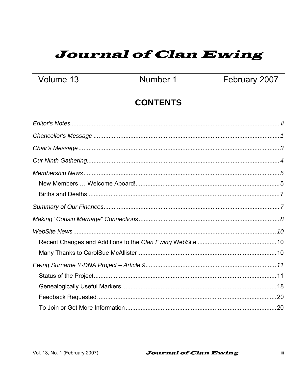# **Journal of Clan Ewing**

Volume 13

Number 1

February 2007

# **CONTENTS**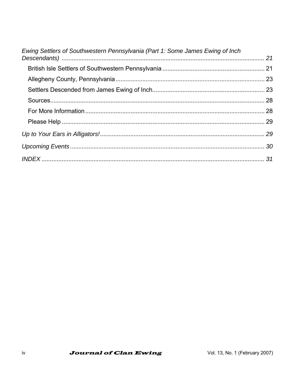| Ewing Settlers of Southwestern Pennsylvania (Part 1: Some James Ewing of Inch |  |
|-------------------------------------------------------------------------------|--|
|                                                                               |  |
|                                                                               |  |
|                                                                               |  |
|                                                                               |  |
|                                                                               |  |
|                                                                               |  |
|                                                                               |  |
|                                                                               |  |
|                                                                               |  |
|                                                                               |  |
|                                                                               |  |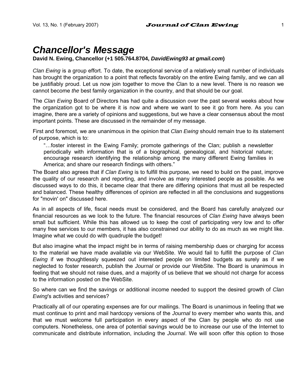# *Chancellor's Message*

#### **David N. Ewing, Chancellor (+1 505.764.8704,** *DavidEwing93 at gmail.com***)**

*Clan Ewing* is a group effort. To date, the exceptional service of a relatively small number of individuals has brought the organization to a point that reflects favorably on the entire Ewing family, and we can all be justifiably proud. Let us now join together to move the Clan to a new level. There is no reason we cannot become *the* best family organization in the country, and that should be our goal.

The *Clan Ewing* Board of Directors has had quite a discussion over the past several weeks about how the organization got to be where it is now and where we want to see it go from here. As you can imagine, there are a variety of opinions and suggestions, but we have a clear consensus about the most important points. These are discussed in the remainder of my message.

First and foremost, we are unanimous in the opinion that *Clan Ewing* should remain true to its statement of purpose, which is to:

"…foster interest in the Ewing Family; promote gatherings of the Clan; publish a newsletter periodically with information that is of a biographical, genealogical, and historical nature; encourage research identifying the relationship among the many different Ewing families in America; and share our research findings with others."

The Board also agrees that if *Clan Ewing* is to fulfill this purpose, we need to build on the past, improve the quality of our research and reporting, and involve as many interested people as possible. As we discussed ways to do this, it became clear that there are differing opinions that must all be respected and balanced. These healthy differences of opinion are reflected in all the conclusions and suggestions for "movin' on" discussed here.

As in all aspects of life, fiscal needs must be considered, and the Board has carefully analyzed our financial resources as we look to the future. The financial resources of *Clan Ewing* have always been small but sufficient. While this has allowed us to keep the cost of participating very low and to offer many free services to our members, it has also constrained our ability to do as much as we might like. Imagine what we could do with quadruple the budget!

But also imagine what the impact might be in terms of raising membership dues or charging for access to the material we have made available via our WebSite. We would fail to fulfill the purpose of *Clan Ewing* if we thoughtlessly squeezed out interested people on limited budgets as surely as if we neglected to foster research, publish the *Journal* or provide our WebSite. The Board is unanimous in feeling that we should not raise dues, and a majority of us believe that we should not charge for access to the information posted on the WebSite.

So where can we find the savings or additional income needed to support the desired growth of *Clan Ewing*'s activities and services?

Practically all of our operating expenses are for our mailings. The Board is unanimous in feeling that we must continue to print and mail hardcopy versions of the *Journal* to every member who wants this, and that we must welcome full participation in every aspect of the Clan by people who do not use computers. Nonetheless, one area of potential savings would be to increase our use of the Internet to communicate and distribute information, including the *Journal*. We will soon offer this option to those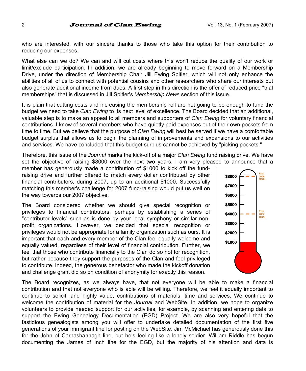who are interested, with our sincere thanks to those who take this option for their contribution to reducing our expenses.

What else can we do? We can and will cut costs where this won't reduce the quality of our work or limit/exclude participation. In addition, we are already beginning to move forward on a Membership Drive, under the direction of Membership Chair Jill Ewing Spitler, which will not only enhance the abilities of all of us to connect with potential cousins and other researchers who share our interests but also generate additional income from dues. A first step in this direction is the offer of reduced price "trial memberships" that is discussed in Jill Spitler's *Membership News* section of this issue.

It is plain that cutting costs and increasing the membership roll are not going to be enough to fund the budget we need to take *Clan Ewing* to its next level of excellence. The Board decided that an additional, valuable step is to make an appeal to all members and supporters of *Clan Ewing* for voluntary financial contributions. I know of several members who have quietly paid expenses out of their own pockets from time to time. But we believe that the purpose of *Clan Ewing* will best be served if we have a comfortable budget surplus that allows us to begin the planning of improvements and expansions to our activities and services. We have concluded that this budget surplus cannot be achieved by "picking pockets."

Therefore, this issue of the *Journal* marks the kick-off of a major *Clan Ewing* fund raising drive. We have set the objective of raising \$8000 over the next two years. I am very pleased to announce that a

member has generously made a contribution of \$1000 to kick off the fundraising drive and further offered to match every dollar contributed by other financial contributors, during 2007, up to an additional \$1000. Successfully matching this member's challenge for 2007 fund-raising would put us well on the way towards our 2007 objective.

The Board considered whether we should give special recognition or privileges to financial contributors, perhaps by establishing a series of "contributor levels" such as is done by your local symphony or similar nonprofit organizations. However, we decided that special recognition or privileges would not be appropriate for a family organization such as ours. It is important that each and every member of the Clan feel equally welcome and equally valued, regardless of their level of financial contribution. Further, we feel that those who contribute financially to the Clan do so not for recognition, but rather because they support the purposes of the Clan and feel privileged to contribute. Indeed, the generous benefactor who made the kickoff donation and challenge grant did so on condition of anonymity for exactly this reason.



The Board recognizes, as we always have, that not everyone will be able to make a financial contribution and that not everyone who is able will be willing. Therefore, we feel it equally important to continue to solicit, and highly value, contributions of materials, time and services. We continue to welcome the contribution of material for the *Journal* and WebSite. In addition, we hope to organize volunteers to provide needed support for our activities, for example, by scanning and entering data to support the Ewing Genealogy Documentation (EGD) Project. We are also very hopeful that the fastidious genealogists among you will offer to undertake detailed documentation of the first five generations of your immigrant line for posting on the WebSite. Jim McMichael has generously done this for the John of Carnashannagh line, but he's feeling like a lonely soldier. William Riddle has begun documenting the James of Inch line for the EGD, but the majority of his attention and data is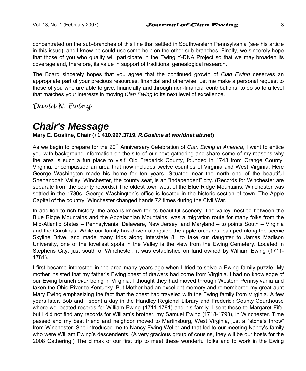concentrated on the sub-branches of this line that settled in Southwestern Pennsylvania (see his article in this issue), and I know he could use some help on the other sub-branches. Finally, we sincerely hope that those of you who qualify will participate in the Ewing Y-DNA Project so that we may broaden its coverage and, therefore, its value in support of traditional genealogical research.

The Board sincerely hopes that you agree that the continued growth of *Clan Ewing* deserves an appropriate part of your precious resources, financial and otherwise. Let me make a personal request to those of you who are able to give, financially and through non-financial contributions, to do so to a level that matches your interests in moving *Clan Ewing* to its next level of excellence.

*David N. Ewing*

# *Chair's Message*

#### **Mary E. Gosline, Chair (+1 410.997.3719,** *R.Gosline at worldnet.att.net***)**

As we begin to prepare for the 20<sup>th</sup> Anniversary Celebration of *Clan Ewing in America*, I want to entice you with background information on the site of our next gathering and share some of my reasons why the area is such a fun place to visit! Old Frederick County, founded in 1743 from Orange County, Virginia, encompassed an area that now includes twelve counties of Virginia and West Virginia. Here George Washington made his home for ten years. Situated near the north end of the beautiful Shenandoah Valley, Winchester, the county seat, is an "independent" city. (Records for Winchester are separate from the county records.) The oldest town west of the Blue Ridge Mountains, Winchester was settled in the 1730s. George Washington's office is located in the historic section of town. The Apple Capital of the country, Winchester changed hands 72 times during the Civil War.

In addition to rich history, the area is known for its beautiful scenery. The valley, nestled between the Blue Ridge Mountains and the Appalachian Mountains, was a migration route for many folks from the Mid-Atlantic States – Pennsylvania, Delaware, New Jersey, and Maryland – to points South – Virginia and the Carolinas. While our family has driven alongside the apple orchards, camped along the scenic Skyline Drive, and made many trips along Interstate 81 to take our daughter to James Madison University, one of the loveliest spots in the Valley is the view from the Ewing Cemetery. Located in Stephens City, just south of Winchester, it was established on land owned by William Ewing (1711- 1781).

I first became interested in the area many years ago when I tried to solve a Ewing family puzzle. My mother insisted that my father's Ewing chest of drawers had come from Virginia. I had no knowledge of our Ewing branch *ever* being in Virginia. I thought they had moved through Western Pennsylvania and taken the Ohio River to Kentucky. But Mother had an excellent memory and remembered my great-aunt Mary Ewing emphasizing the fact that the chest had traveled with the Ewing family from Virginia. A few years later, Bob and I spent a day in the Handley Regional Library and Frederick County Courthouse where we located records for William Ewing (1711-1781) and his family. I sent those to Margaret Fife, but I did not find any records for William's brother, my Samuel Ewing (1718-1798), in Winchester. Time passed and my best friend and neighbor moved to Martinsburg, West Virginia, just a "stone's throw" from Winchester. She introduced me to Nancy Ewing Weller and that led to our meeting Nancy's family who were William Ewing's descendents. (A very gracious group of cousins, they will be our hosts for the 2008 Gathering.) The climax of our first trip to meet these wonderful folks and to work in the Ewing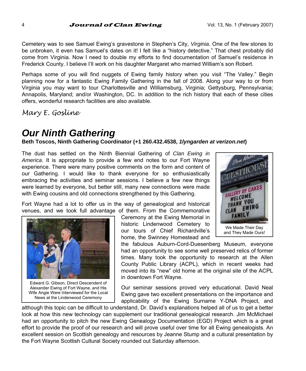Cemetery was to see Samuel Ewing's gravestone in Stephen's City, *Virginia*. One of the few stones to be unbroken, it even has Samuel's dates on it! I felt like a "history detective." That chest probably did come from Virginia. Now I need to double my efforts to find documentation of Samuel's residence in Frederick County. I believe I'll work on his daughter Margaret who married William's son Robert.

Perhaps some of you will find nuggets of Ewing family history when you visit "The Valley." Begin planning now for a fantastic Ewing Family Gathering in the fall of 2008. Along your way to or from Virginia you may want to tour Charlottesville and Williamsburg, Virginia; Gettysburg, Pennsylvania; Annapolis, Maryland; and/or Washington, DC. In addition to the rich history that each of these cities offers, wonderful research facilities are also available.

*Mary E. Gosline*

# *Our Ninth Gathering*

### **Beth Toscos, Ninth Gathering Coordinator (+1 260.432.4538,** *1lyngarden at verizon.net***)**

The dust has settled on the Ninth Biennial Gathering of *Clan Ewing in America*. It is appropriate to provide a few end notes to our Fort Wayne experience. There were many positive comments on the form and content of our Gathering. I would like to thank everyone for so enthusiastically embracing the activities and seminar sessions. I believe a few new things were learned by everyone, but better still, many new connections were made with Ewing cousins and old connections strengthened by this Gathering.

Fort Wayne had a lot to offer us in the way of genealogical and historical venues, and we took full advantage of them. From the Commemorative

Ceremony at the Ewing Memorial in historic Lindenwood Cemetery to our tours of Chief Richardville's home, the Swinney Homestead and



and They Made Ours!

the fabulous Auburn-Cord-Duesenberg Museum, everyone had an opportunity to see some well preserved relics of former times. Many took the opportunity to research at the Allen County Public Library (ACPL), which in recent weeks had moved into its "new" old home at the original site of the ACPL in downtown Fort Wayne.

Our seminar sessions proved very educational. David Neal Ewing gave two excellent presentations on the importance and applicability of the Ewing Surname Y-DNA Project, and

although this topic can be difficult to understand, Dr. David's explanations helped all of us to get a better look at how this new technology can supplement our traditional genealogical research. Jim McMichael had an opportunity to pitch the new Ewing Genealogy Documentation (EGD) Project which is a great effort to provide the proof of our research and will prove useful over time for all Ewing genealogists. An excellent session on Scottish genealogy and resources by Jeanne Stump and a cultural presentation by the Fort Wayne Scottish Cultural Society rounded out Saturday afternoon.



Edward G. Gibson, Direct Descendent of Alexander Ewing of Fort Wayne, and His Wife Angie Were Interviewed for the Local News at the Lindenwood Ceremony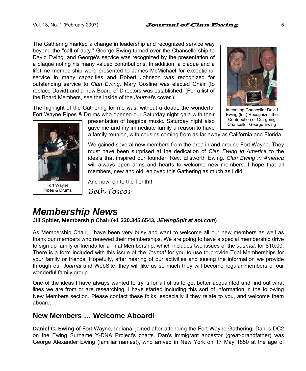The Gathering marked a change in leadership and recognized service way beyond the "call of duty." George Ewing turned over the Chancellorship to David Ewing, and George's service was recognized by the presentation of a plaque noting his many valued contributions. In addition, a plaque and a lifetime membership were presented to James McMichael for exceptional service in many capacities and Robert Johnson was recognized for outstanding service to *Clan Ewing*. Mary Gosline was elected Chair (to replace David) and a new Board of Directors was established. (For a list of the Board Members, see the inside of the *Journal*'s cover.)

The highlight of the Gathering for me was, without a doubt, the wonderful Fort Wayne Pipes & Drums who opened our Saturday night gala with their



Fort Wayne Pipes & Drums

presentation of bagpipe music. Saturday night also gave me and my immediate family a reason to have



In-coming Chancellor David Ewing (left) Recognizes the Contribution of Out-going Chancellor George Ewing

a family reunion, with cousins coming from as far away as California and Florida.

We gained several new members from the area in and around Fort Wayne. They must have been surprised at the dedication of *Clan Ewing in America* to the ideals that inspired our founder, Rev. Ellsworth Ewing. *Clan Ewing in America* will always open arms and hearts to welcome new members. I hope that all members, new and old, enjoyed this Gathering as much as I did.

And now, on to the Tenth!! *Beth Toscos*

# *Membership News*

**Jill Spitler, Membership Chair (+1 330.345.6543,** *JEwingSpit at aol.com***)** 

As Membership Chair, I have been very busy and want to welcome all our new members as well as thank our members who renewed their memberships. We are going to have a special membership drive to sign up family or friends for a Trial Membership, which includes two issues of the *Journal*, for \$10.00. There is a form included with this issue of the *Journal* for you to use to provide Trial Memberships for your family or friends. Hopefully, after hearing of our activities and seeing the information we provide through our *Journal* and WebSite, they will like us so much they will become regular members of our wonderful family group.

One of the ideas I have always wanted to try is for all of us to get better acquainted and find out what lines we are from or are researching. I have started including this sort of information in the following New Members section. Please contact these folks, especially if they relate to you, and welcome them aboard.

## **New Members … Welcome Aboard!**

**Daniel C. Ewing** of Fort Wayne, Indiana, joined after attending the Fort Wayne Gathering. Dan is DC2 on the Ewing Surname Y-DNA Project's charts. Dan's immigrant ancestor (great-grandfather) was George Alexander Ewing (familiar names!), who arrived in New York on 17 May 1850 at the age of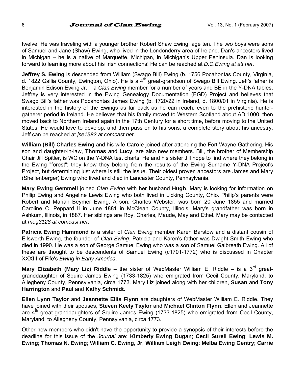twelve. He was traveling with a younger brother Robert Shaw Ewing, age ten. The two boys were sons of Samuel and Jane (Shaw) Ewing, who lived in the Londonderry area of Ireland. Dan's ancestors lived in Michigan – he is a native of Marquette, Michigan, in Michigan's Upper Peninsula. Dan is looking forward to learning more about his Irish connections! He can be reached at *D.C.Ewing at att.net*.

**Jeffrey S. Ewing** is descended from William (Swago Bill) Ewing (b. 1756 Pocahontas County, Virginia, d. 1822 Gallia County, Ewington, Ohio). He is a 4<sup>th</sup> great-grandson of Swago Bill Ewing. Jeff's father is Benjamin Edison Ewing Jr. – a *Clan Ewing* member for a number of years and BE in the Y-DNA tables. Jeffrey is very interested in the Ewing Genealogy Documentation (EGD) Project and believes that Swago Bill's father was Pocahontas James Ewing (b. 1720/22 in Ireland, d. 1800/01 in Virginia). He is interested in the history of the Ewings as far back as he can reach, even to the prehistoric huntergatherer period in Ireland. He believes that his family moved to Western Scotland about AD 1000, then moved back to Northern Ireland again in the 17th Century for a short time, before moving to the United States. He would love to develop, and then pass on to his sons, a complete story about his ancestry. Jeff can be reached at *jse1582 at comcast.net*.

**William (Bill) Charles Ewing** and his wife **Carole** joined after attending the Fort Wayne Gathering. His son and daughter-in-law, **Thomas** and **Lucy**, are also new members. Bill, the brother of Membership Chair Jill Spitler, is WC on the Y-DNA test charts. He and his sister Jill hope to find where they belong in the Ewing "forest"; they know they belong from the results of the Ewing Surname Y-DNA Project's Project, but determining just where is still the issue. Their oldest proven ancestors are James and Mary (Shellenberger) Ewing who lived and died in Lancaster County, Pennsylvania.

**Mary Ewing Gemmell** joined *Clan Ewing* with her husband **Hugh**. Mary is looking for information on Philip Ewing and Angeline Lewis Ewing who both lived in Licking County, Ohio. Philip's parents were Robert and Mariah Beymer Ewing. A son, Charles Webster, was born 20 June 1855 and married Caroline C. Peppard II in June 1881 in McClean County, Illinois. Mary's grandfather was born in Ashkum, Illinois, in 1887. Her siblings are Roy, Charles, Maude, May and Ethel. Mary may be contacted at *meg3128 at comcast.net*.

**Patricia Ewing Hammond** is a sister of *Clan Ewing* member Karen Barstow and a distant cousin of Ellsworth Ewing, the founder of *Clan Ewing*. Patricia and Karen's father was Dwight Smith Ewing who died in 1990. He was a son of George Samuel Ewing who was a son of Samuel Galbreath Ewing. All of these are thought to be descendents of Samuel Ewing (c1701-1772) who is discussed in Chapter XXXIII of Fife's *Ewing in Early America*.

**Mary Elizabeth (Mary Liz) Riddle** – the sister of WebMaster William E. Riddle – is a 3<sup>rd</sup> greatgranddaughter of Squire James Ewing (1733-1825) who emigrated from Cecil County, Maryland, to Allegheny County, Pennsylvania, circa 1773. Mary Liz joined along with her children, **Susan** and **Tony Harrington** and **Paul** and **Kathy Schmidt**.

**Ellen Lynn Taylor** and **Jeannette Ellis Flynn** are daughters of WebMaster William E. Riddle. They have joined with their spouses, **Steven Keely Taylor** and **Michael Clinton Flynn**. Ellen and Jeannette are 4<sup>th</sup> great-granddaughters of Squire James Ewing (1733-1825) who emigrated from Cecil County, Maryland, to Allegheny County, Pennsylvania, circa 1773.

Other new members who didn't have the opportunity to provide a synopsis of their interests before the deadline for this issue of the *Journal* are: **Kimberly Ewing Dugan**; **Cecil Surell Ewing**; **Lewis M. Ewing**; **Thomas N. Ewing**; **William C. Ewing, Jr**; **William Leigh Ewing**; **Melba Ewing Gentry**; **Carrie**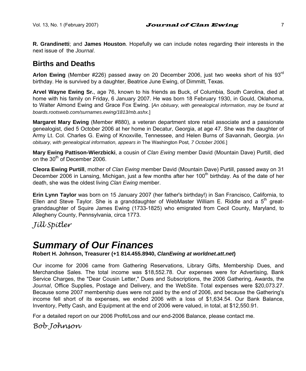**R. Grandinetti**; and **James Houston**. Hopefully we can include notes regarding their interests in the next issue of the *Journal*.

## **Births and Deaths**

**Arlon Ewing** (Member #226) passed away on 20 December 2006, just two weeks short of his 93rd birthday. He is survived by a daughter, Beatrice June Ewing, of Dimmitt, Texas.

**Arvel Wayne Ewing Sr.**, age 76, known to his friends as Buck, of Columbia, South Carolina, died at home with his family on Friday, 6 January 2007. He was born 18 February 1930, in Gould, Oklahoma, to Walter Almond Ewing and Grace Fox Ewing. [*An obituary, with genealogical information, may be found at boards.rootsweb.com/surnames.ewing/1813/mb.ashx.*]

**Margaret Mary Ewing** (Member #880), a veteran department store retail associate and a passionate genealogist, died 5 October 2006 at her home in Decatur, Georgia, at age 47. She was the daughter of Army Lt. Col. Charles G. Ewing of Knoxville, Tennessee, and Helen Burns of Savannah, Georgia. [*An obituary, with genealogical information, appears in* The Washington Post*, 7 October 2006.*]

**Mary Ewing Pattison-Wierzbicki**, a cousin of *Clan Ewing* member David (Mountain Dave) Purtill, died on the 30<sup>th</sup> of December 2006.

**Cleora Ewing Purtill**, mother of *Clan Ewing* member David (Mountain Dave) Purtill, passed away on 31 December 2006 in Lansing, Michigan, just a few months after her 100<sup>th</sup> birthday. As of the date of her death, she was the oldest living *Clan Ewing* member.

**Erin Lynn Taylor** was born on 15 January 2007 (her father's birthday!) in San Francisco, California, to Ellen and Steve Taylor. She is a granddaughter of WebMaster William E. Riddle and a  $5<sup>th</sup>$  greatgranddaughter of Squire James Ewing (1733-1825) who emigrated from Cecil County, Maryland, to Allegheny County, Pennsylvania, circa 1773.

*Jill Spitler* 

# *Summary of Our Finances*

**Robert H. Johnson, Treasurer (+1 814.455.8940,** *ClanEwing at worldnet.att.net***)** 

Our income for 2006 came from Gathering Reservations, Library Gifts, Membership Dues, and Merchandise Sales. The total income was \$18,552.78. Our expenses were for Advertising, Bank Service Charges, the "Dear Cousin Letter," Dues and Subscriptions, the 2006 Gathering, Awards, the *Journal*, Office Supplies, Postage and Delivery, and the WebSite. Total expenses were \$20,073.27. Because some 2007 membership dues were not paid by the end of 2006, and because the Gathering's income fell short of its expenses, we ended 2006 with a loss of \$1,634.54. Our Bank Balance, Inventory, Petty Cash, and Equipment at the end of 2006 were valued, in total, at \$12,550.91.

For a detailed report on our 2006 Profit/Loss and our end-2006 Balance, please contact me.

*Bob Johnson*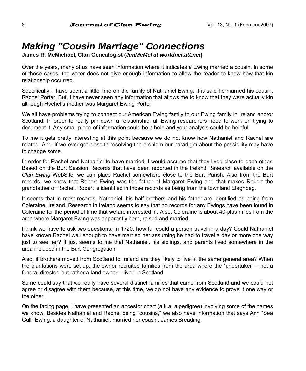# *Making "Cousin Marriage" Connections*

**James R. McMichael, Clan Genealogist (***JimMcMcl at worldnet.att.net***)** 

Over the years, many of us have seen information where it indicates a Ewing married a cousin. In some of those cases, the writer does not give enough information to allow the reader to know how that kin relationship occurred.

Specifically, I have spent a little time on the family of Nathaniel Ewing. It is said he married his cousin, Rachel Porter. But, I have never seen any information that allows me to know that they were actually kin although Rachel's mother was Margaret Ewing Porter.

We all have problems trying to connect our American Ewing family to our Ewing family in Ireland and/or Scotland. In order to really pin down a relationship, all Ewing researchers need to work on trying to document it. Any small piece of information could be a help and your analysis could be helpful.

To me it gets pretty interesting at this point because we do not know how Nathaniel and Rachel are related. And, if we ever get close to resolving the problem our paradigm about the possibility may have to change some.

In order for Rachel and Nathaniel to have married, I would assume that they lived close to each other. Based on the Burt Session Records that have been reported in the Ireland Research available on the *Clan Ewing* WebSite, we can place Rachel somewhere close to the Burt Parish. Also from the Burt records, we know that Robert Ewing was the father of Margaret Ewing and that makes Robert the grandfather of Rachel. Robert is identified in those records as being from the townland Elaghbeg.

It seems that in most records, Nathaniel, his half-brothers and his father are identified as being from Coleraine, Ireland. Research in Ireland seems to say that no records for any Ewings have been found in Coleraine for the period of time that we are interested in. Also, Coleraine is about 40-plus miles from the area where Margaret Ewing was apparently born, raised and married.

I think we have to ask two questions: In 1720, how far could a person travel in a day? Could Nathaniel have known Rachel well enough to have married her assuming he had to travel a day or more one way just to see her? It just seems to me that Nathaniel, his siblings, and parents lived somewhere in the area included in the Burt Congregation.

Also, if brothers moved from Scotland to Ireland are they likely to live in the same general area? When the plantations were set up, the owner recruited families from the area where the "undertaker" – not a funeral director, but rather a land owner – lived in Scotland.

Some could say that we really have several distinct families that came from Scotland and we could not agree or disagree with them because, at this time, we do not have any evidence to prove it one way or the other.

On the facing page, I have presented an ancestor chart (a.k.a. a pedigree) involving some of the names we know. Besides Nathaniel and Rachel being "cousins," we also have information that says Ann "Sea Gull" Ewing, a daughter of Nathaniel, married her cousin, James Breading.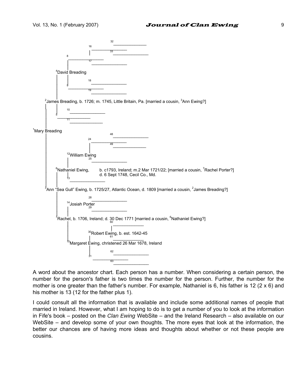

A word about the ancestor chart. Each person has a number. When considering a certain person, the number for the person's father is two times the number for the person. Further, the number for the mother is one greater than the father's number. For example, Nathaniel is 6, his father is 12 (2 x 6) and his mother is 13 (12 for the father plus 1).

I could consult all the information that is available and include some additional names of people that married in Ireland. However, what I am hoping to do is to get a number of you to look at the information in Fife's book – posted on the *Clan Ewing* WebSite – and the Ireland Research – also available on our WebSite – and develop some of your own thoughts. The more eyes that look at the information, the better our chances are of having more ideas and thoughts about whether or not these people are cousins.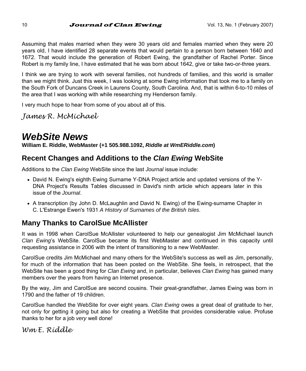Assuming that males married when they were 30 years old and females married when they were 20 years old, I have identified 28 separate events that would pertain to a person born between 1640 and 1672. That would include the generation of Robert Ewing, the grandfather of Rachel Porter. Since Robert is my family line, I have estimated that he was born about 1642, give or take two-or-three years.

I think we are trying to work with several families, not hundreds of families, and this world is smaller than we might think. Just this week, I was looking at some Ewing information that took me to a family on the South Fork of Duncans Creek in Laurens County, South Carolina. And, that is within 6-to-10 miles of the area that I was working with while researching my Henderson family.

I very much hope to hear from some of you about all of this.

*James R. McMichael*

# *WebSite News*

**William E. Riddle, WebMaster (+1 505.988.1092,** *Riddle at WmERiddle.com***)** 

## **Recent Changes and Additions to the** *Clan Ewing* **WebSite**

Additions to the *Clan Ewing* WebSite since the last *Journal* issue include:

- David N. Ewing's eighth Ewing Surname Y-DNA Project article and updated versions of the Y-DNA Project's Results Tables discussed in David's ninth article which appears later in this issue of the *Journal*.
- A transcription (by John D. McLaughlin and David N. Ewing) of the Ewing-surname Chapter in C. L'Estrange Ewen's 1931 *A History of Surnames of the British Isles*.

## **Many Thanks to CarolSue McAllister**

It was in 1998 when CarolSue McAllister volunteered to help our genealogist Jim McMichael launch *Clan Ewing*'s WebSite. CarolSue became its first WebMaster and continued in this capacity until requesting assistance in 2006 with the intent of transitioning to a new WebMaster.

CarolSue credits Jim McMichael and many others for the WebSite's success as well as Jim, personally, for much of the information that has been posted on the WebSite. She feels, in retrospect, that the WebSite has been a good thing for *Clan Ewing* and, in particular, believes *Clan Ewing* has gained many members over the years from having an Internet presence.

By the way, Jim and CarolSue are second cousins. Their great-grandfather, James Ewing was born in 1790 and the father of 19 children.

CarolSue handled the WebSite for over eight years. *Clan Ewing* owes a great deal of gratitude to her, not only for getting it going but also for creating a WebSite that provides considerable value. Profuse thanks to her for a job *very* well done!

*Wm E. Riddle*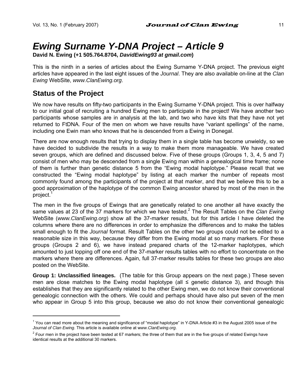# *Ewing Surname Y-DNA Project – Article 9*

**David N. Ewing (+1 505.764.8704,** *DavidEwing93 at gmail.com***)** 

This is the ninth in a series of articles about the Ewing Surname Y-DNA project. The previous eight articles have appeared in the last eight issues of the *Journal*. They are also available on-line at the *Clan Ewing* WebSite, *www.ClanEwing.org*.

## **Status of the Project**

l

We now have results on fifty-two participants in the Ewing Surname Y-DNA project. This is over halfway to our initial goal of recruiting a hundred Ewing men to participate in the project! We have another two participants whose samples are in analysis at the lab, and two who have kits that they have not yet returned to FtDNA. Four of the men on whom we have results have "variant spellings" of the name, including one Ewin man who knows that he is descended from a Ewing in Donegal.

There are now enough results that trying to display them in a single table has become unwieldy, so we have decided to subdivide the results in a way to make them more manageable. We have created seven groups, which are defined and discussed below. Five of these groups (Groups 1, 3, 4, 5 and 7) consist of men who may be descended from a single Ewing man within a genealogical time frame; none of them is further than genetic distance 5 from the "Ewing modal haplotype." Please recall that we constructed the "Ewing modal haplotype" by listing at each marker the number of repeats most commonly found among the participants of the project at that marker, and that we believe this to be a good approximation of the haplotype of the common Ewing ancestor shared by most of the men in the  $project.<sup>1</sup>$ 

The men in the five groups of Ewings that are genetically related to one another all have exactly the same values at 23 of the 37 markers for which we have tested.<sup>2</sup> The Result Tables on the *Clan Ewing* WebSite (*www.ClanEwing.org*) show all the 37-marker results, but for this article I have deleted the columns where there are no differences in order to emphasize the differences and to make the tables small enough to fit the *Journal* format. Result Tables on the other two groups could not be edited to a reasonable size in this way, because they differ from the Ewing modal at so many markers. For these groups (Groups 2 and 6), we have instead prepared charts of the 12-marker haplotypes, which amounted to just lopping off one end of the 37-marker results tables with no effort to concentrate on the markers where there are differences. Again, full 37-marker results tables for these two groups are also posted on the WebSite.

**Group 1: Unclassified lineages.** (The table for this Group appears on the next page.) These seven men are close matches to the Ewing modal haplotype (all ≤ genetic distance 3), and though this establishes that they are significantly related to the other Ewing men, we do not know their conventional genealogic connection with the others. We could and perhaps should have also put seven of the men who appear in Group 5 into this group, because we also do not know their conventional genealogic

<sup>&</sup>lt;sup>1</sup> You can read more about the meaning and significance of "modal haplotype" in Y-DNA Article #3 in the August 2005 issue of the *Journal of Clan Ewing*. This article is available online at w*ww.ClanEwing.org*.

 $^2$  Four men in the project have been tested at 67 markers; the three of them that are in the five groups of related Ewings have identical results at the additional 30 markers.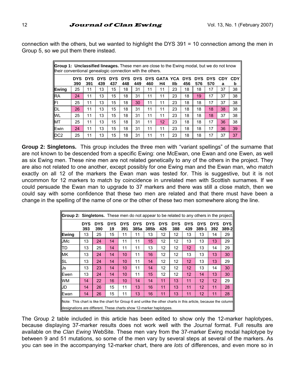connection with the others, but we wanted to highlight the DYS 391 = 10 connection among the men in Group 5, so we put them there instead.

| <b>Group 1: Unclassified lineages.</b> These men are close to the Ewing modal, but we do not know<br>their conventional genealogic connection with the others. |                   |                   |                   |                   |                   |                   |     |                           |     |                   |                   |                   |          |                 |
|----------------------------------------------------------------------------------------------------------------------------------------------------------------|-------------------|-------------------|-------------------|-------------------|-------------------|-------------------|-----|---------------------------|-----|-------------------|-------------------|-------------------|----------|-----------------|
|                                                                                                                                                                | <b>DYS</b><br>390 | <b>DYS</b><br>391 | <b>DYS</b><br>439 | <b>DYS</b><br>437 | <b>DYS</b><br>448 | <b>DYS</b><br>449 | 460 | <b>DYS GATA YCA</b><br>Н4 | llb | <b>DYS</b><br>456 | <b>DYS</b><br>576 | <b>DYS</b><br>570 | CDY<br>a | <b>CDY</b><br>b |
| Ewing                                                                                                                                                          | 25                | 11                | 13                | 15                | 18                | 31                | 11  | 11                        | 23  | 18                | 18                | 17                | 37       | 38              |
| <b>RA</b>                                                                                                                                                      | 24                | 11                | 13                | 15                | 18                | 31                | 11  | 11                        | 23  | 18                | 19                | 17                | 37       | 38              |
| l۴۱                                                                                                                                                            | 25                | 11                | 13                | 15                | 18                | 30                | 11  | 11                        | 23  | 18                | 18                | 17                | 37       | 38              |
| DL                                                                                                                                                             | 26                | 11                | 13                | 15                | 18                | 31                | 11  | 11                        | 23  | 18                | 18                | 18                | 38       | 38              |
| <b>WL</b>                                                                                                                                                      | 25                | 11                | 13                | 15                | 18                | 31                | 11  | 11                        | 23  | 18                | 18                | 18                | 37       | 38              |
| <b>MT</b>                                                                                                                                                      | 25                | 11                | 13                | 15                | 18                | 31                | 11  | 12                        | 23  | 18                | 18                | 17                | 36       | 38              |
| Ewin                                                                                                                                                           | 24                | 11                | 13                | 15                | 18                | 31                | 11  | 11                        | 23  | 18                | 18                | 17                | 36       | 39              |
| DC <sub>2</sub>                                                                                                                                                | 25                | 11                | 13                | 15                | 18                | 31                | 11  | 11                        | 23  | 18                | 18                | 17                | 37       | 37              |

**Group 2: Singletons.** This group includes the three men with "variant spellings" of the surname that are not known to be descended from a specific Ewing: one McEwan, one Ewan and one Ewen, as well as six Ewing men. These nine men are not related genetically to any of the others in the project. They are also not related to one another, except possibly for one Ewing man and the Ewan man, who match exactly on all 12 of the markers the Ewan man was tested for. This is suggestive, but it is not uncommon for 12 markers to match by coincidence in unrelated men with Scottish surnames. If we could persuade the Ewan man to upgrade to 37 markers and there was still a close match, then we could say with some confidence that these two men are related and that there must have been a change in the spelling of the name of one or the other of these two men somewhere along the line.

| <b>Group 2: Singletons.</b> These men do not appear to be related to any others in the project. |                                                                                                                                                                                       |                   |                  |                   |                    |                    |                   |                   |                 |                     |            |                     |
|-------------------------------------------------------------------------------------------------|---------------------------------------------------------------------------------------------------------------------------------------------------------------------------------------|-------------------|------------------|-------------------|--------------------|--------------------|-------------------|-------------------|-----------------|---------------------|------------|---------------------|
|                                                                                                 | <b>DYS</b><br>393                                                                                                                                                                     | <b>DYS</b><br>390 | <b>DYS</b><br>19 | <b>DYS</b><br>391 | <b>DYS</b><br>385a | <b>DYS</b><br>385b | <b>DYS</b><br>426 | <b>DYS</b><br>388 | DYS<br>439      | <b>DYS</b><br>389-1 | DYS<br>392 | <b>DYS</b><br>389-2 |
| Ewina                                                                                           | 13                                                                                                                                                                                    | 25                | 15               | 11                | 11                 | 13                 | 12                | 12                | 13              | 13                  | 14         | 29                  |
| <b>JMc</b>                                                                                      | 13                                                                                                                                                                                    | 24                | 14               | 11                | 11                 | 15                 | $12 \overline{ }$ | 12                | 13              | 13                  | 13         | 29                  |
| litd                                                                                            | 13                                                                                                                                                                                    | 25                | 14               | 11                | 11                 | 13                 | 12                | 12                | 12 <sup>2</sup> | 13                  | 14         | 29                  |
| <b>MK</b>                                                                                       | 13                                                                                                                                                                                    | 24                | 14               | 10 <sup>1</sup>   | 11                 | 16                 | 12                | 12                | 13              | 13                  | 13         | 30                  |
| <b>ISL</b>                                                                                      | 13                                                                                                                                                                                    | 24                | 14               | 10 <sup>1</sup>   | 11                 | 14                 | 12                | 12                | 12 <sup>2</sup> | 13                  | 13         | 29                  |
| IJs                                                                                             | 13                                                                                                                                                                                    | 23                | 14               | 10 <sup>1</sup>   | 11                 | 14                 | 12                | 12                | 12 <sup>2</sup> | 13                  | 14         | 30                  |
| Ewen                                                                                            | 13                                                                                                                                                                                    | 24                | 14               | 10 <sup>1</sup>   | 11                 | 15                 | 12                | 12                | 12 <sup>2</sup> | 14                  | 13         | 30                  |
| <b>WM</b>                                                                                       | 14                                                                                                                                                                                    | 22                | 16               | 10                | 14                 | 14                 | 11                | 13                | 11              | 12                  | 12         | 29                  |
| IJD                                                                                             | 14                                                                                                                                                                                    | 26                | 15               | 11                | 13                 | 16                 | 11                | 13                | 11              | 12                  | 11         | 28                  |
| Ewan                                                                                            | 14                                                                                                                                                                                    | 26                | 15               | 11                | 13                 | 16                 | 11                | 13                | 11              | 12                  | 11         | 28                  |
|                                                                                                 | Note: This chart is like the chart for Group 6 and unlike the other charts in this article, because the column<br>designations are different. These charts show 12-marker haplotypes. |                   |                  |                   |                    |                    |                   |                   |                 |                     |            |                     |

The Group 2 table included in this article has been edited to show only the 12-marker haplotypes, because displaying 37-marker results does not work well with the *Journal* format. Full results are available on the *Clan Ewing* WebSite. These men vary from the 37-marker Ewing modal haplotype by between 9 and 51 mutations, so some of the men vary by several steps at several of the markers. As you can see in the accompanying 12-marker chart, there are *lots* of differences, and even more so in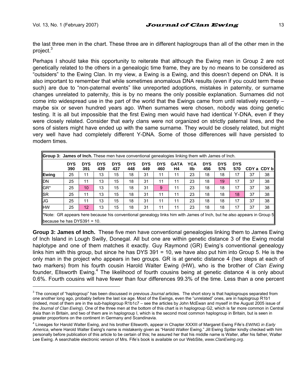l

the last three men in the chart. These three are in different haplogroups than all of the other men in the project.<sup>3</sup>

Perhaps I should take this opportunity to reiterate that although the Ewing men in Group 2 are not genetically related to the others in a genealogic time frame, they are by no means to be considered as "outsiders" to the Ewing Clan. In my view, a Ewing is a Ewing, and this doesn't depend on DNA. It is also important to remember that while sometimes anomalous DNA results (even if you could term these such) are due to "non-paternal events" like unreported adoptions, mistakes in paternity, or surname changes unrelated to paternity, this is by no means the only possible explanation. Surnames did not come into widespread use in the part of the world that the Ewings came from until relatively recently – maybe six or seven hundred years ago. When surnames were chosen, nobody was doing genetic testing. It is all but impossible that the first Ewing men would have had identical Y-DNA, even if they were closely related. Consider that early clans were not organized on strictly paternal lines, and the sons of sisters might have ended up with the same surname. They would be closely related, but might very well have had completely different Y-DNA. Some of those differences will have persisted to modern times.

| <b>Group 3: James of Inch.</b> These men have conventional genealogies linking them with James of Inch.                                                 |                   |                   |                   |                   |                   |                   |                   |                   |                   |                   |                   |                   |    |             |
|---------------------------------------------------------------------------------------------------------------------------------------------------------|-------------------|-------------------|-------------------|-------------------|-------------------|-------------------|-------------------|-------------------|-------------------|-------------------|-------------------|-------------------|----|-------------|
|                                                                                                                                                         | <b>DYS</b><br>390 | <b>DYS</b><br>391 | <b>DYS</b><br>439 | <b>DYS</b><br>437 | <b>DYS</b><br>448 | <b>DYS</b><br>449 | <b>DYS</b><br>460 | <b>GATA</b><br>H4 | <b>YCA</b><br>llb | <b>DYS</b><br>456 | <b>DYS</b><br>576 | <b>DYS</b><br>570 |    | CDY a CDY b |
| Ewing                                                                                                                                                   | 25                | 11                | 13                | 15                | 18                | 31                | 11                | 11                | 23                | 18                | 18                | 17                | 37 | 38          |
| <b>DN</b>                                                                                                                                               | 25                | 11                | 13                | 15                | 18                | 31                | 11                | 11                | 23                | 18                | 19                | 17                | 37 | 38          |
| GR*                                                                                                                                                     | 25                | 10                | 13                | 15                | 18                | 31                | 9                 | 11                | 23                | 18                | 18                | 17                | 37 | 38          |
| <b>SR</b>                                                                                                                                               | 25                | 11                | 13                | 15                | 18                | 31                | 11                | 11                | 23                | 18                | 18                | 18                | 37 | 38          |
| <b>JG</b>                                                                                                                                               | 25                | 11                | 13                | 15                | 18                | 31                | 11                | 11                | 23                | 18                | 18                | 17                | 37 | 38          |
| <b>HW</b>                                                                                                                                               | 25                | 12                | 13                | 15                | 18                | 31                | 11                | 11                | 23                | 18                | 18                | 17                | 37 | 38          |
| *Note: GR appears here because his conventional genealogy links him with James of lnch, but he also appears in Group 5  <br>because he has DYS391 = 10. |                   |                   |                   |                   |                   |                   |                   |                   |                   |                   |                   |                   |    |             |

**Group 3: James of Inch.** These five men have conventional genealogies linking them to James Ewing of Inch Island in Lough Swilly, Donegal. All but one are within genetic distance 3 of the Ewing modal haplotype and one of them matches it exactly. Guy Raymond (GR) Ewing's conventional genealogy links him with this group, but since he has DYS 391 = 10, we have also put him into Group 5. He is the only man in the project who appears in two groups. GR is at genetic distance 4 (two steps at each of two markers) from his fourth cousin Harold Walter Ewing (HW), who is the brother of *Clan Ewing* founder, Ellsworth Ewing.<sup>4</sup> The likelihood of fourth cousins being at genetic distance 4 is only about 0.6%. Fourth cousins will have fewer than four differences 99.3% of the time. Less than a one percent

<sup>3</sup> The concept of "haplogroup" has been discussed in previous *Journal* articles. The short story is that haplogroups separated from one another long ago, probably before the last ice age. Most of the Ewings, even the "unrelated" ones, are in haplogroup R1b1 (indeed, most of them are in the sub-haplogroup R1b1c7 – see the articles by John McEwan and myself in the August 2005 issue of the *Journal of Clan Ewing*). One of the three men at the bottom of this chart is in haplogroup G2, which is far more common in Central Asia than in Britain, and two of them are in haplogroup I, which is the second most common haplogroup in Britain, but is seen in greater proportions on the continent in Germany and Scandinavia.

<sup>4</sup> Lineages for Harold Walter Ewing, and his brother Ellsworth, appear in Chapter XXXIII of Margaret Ewing Fife's *EWING in Early America*, where Harold Walter Ewing's name is mistakenly given as "Harold *Walker* Ewing." Jill Ewing Spitler kindly checked with him personally before publication of this article to be certain of this; he assured her that his middle name is Walter, after his father, Walter Lee Ewing. A searchable electronic version of Mrs. Fife's book is available on our WebSite, *www.ClanEwing.org*.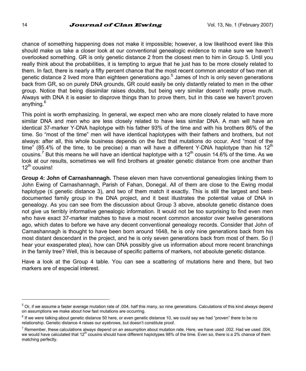chance of something happening does not make it impossible; however, a low likelihood event like this should make us take a closer look at our conventional genealogic evidence to make sure we haven't overlooked something. GR is only genetic distance 2 from the closest men to him in Group 5. Until you really think about the probabilities, it is tempting to argue that he just has to be more closely related to them. In fact, there is nearly a fifty percent chance that the most recent common ancestor of two men at genetic distance 2 lived more than eighteen generations ago.<sup>5</sup> James of Inch is only seven generations back from GR, so on purely DNA grounds, GR could easily be only distantly related to men in the other group. Notice that being dissimilar raises doubts, but being very similar doesn't really prove much. Always with DNA it is easier to disprove things than to prove them, but in this case we haven't proven anything.<sup>6</sup>

This point is worth emphasizing. In general, we expect men who are more closely related to have more similar DNA and men who are less closely related to have less similar DNA. A man will have an identical 37-marker Y-DNA haplotype with his father 93% of the time and with his brothers 86% of the time. So "most of the time" men will have identical haplotypes with their fathers and brothers, but not always: after all, this whole business depends on the fact that mutations do occur. And "most of the time" (85.4% of the time, to be precise) a man will have a different Y-DNA haplotype than his 12<sup>th</sup> cousins.<sup>7</sup> But this means he will have an identical haplotype with a 12<sup>th</sup> cousin 14.6% of the time. As we look at our results, sometimes we will find brothers at greater genetic distance from one another than 12<sup>th</sup> cousins!

**Group 4: John of Carnashannagh.** These eleven men have conventional genealogies linking them to John Ewing of Carnashannagh, Parish of Fahan, Donegal. All of them are close to the Ewing modal haplotype ( $\leq$  genetic distance 3), and two of them match it exactly. This is still the largest and bestdocumented family group in the DNA project, and it best illustrates the potential value of DNA in genealogy. As you can see from the discussion about Group 3 above, absolute genetic distance does not give us terribly informative genealogic information. It would not be too surprising to find even men who have exact 37-marker matches to have a most recent common ancestor over twelve generations ago, which dates to before we have any decent conventional genealogy records. Consider that John of Carnashannagh is thought to have been born around 1648, he is only nine generations back from his most distant descendant in the project, and he is only seven generations back from most of them. So (I hear your exasperated plea), how can DNA possibly give us information about more recent branchings in the family tree? Well, this is because of specific patterns of markers, not absolute genetic distance.

Have a look at the Group 4 table. You can see a scattering of mutations here and there, but two markers are of especial interest.

l

 $5$  Or, if we assume a faster average mutation rate of .004, half this many, so nine generations. Calculations of this kind always depend on assumptions we make about how fast mutations are occurring.

<sup>&</sup>lt;sup>6</sup> If we were talking about genetic distance 50 here, or even genetic distance 10, we could say we had "proven" there to be no relationship. Genetic distance 4 raises our eyebrows, but doesn't constitute proof.

<sup>&</sup>lt;sup>7</sup> Remember, these calculations always depend on an assumption about mutation rate. Here, we have used .002. Had we used .004, we would have calculated that  $12<sup>th</sup>$  cousins should have different haplotypes 98% of the time. Even so, there is a 2% chance of them matching perfectly.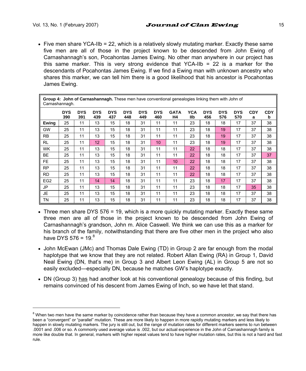l

• Five men share YCA-IIb = 22, which is a relatively slowly mutating marker. Exactly these same five men are all of those in the project known to be descended from John Ewing of Carnashannagh's son, Pocahontas James Ewing. No other man anywhere in our project has this same marker. This is very strong evidence that YCA-IIb = 22 is a marker for the descendants of Pocahontas James Ewing. If we find a Ewing man with unknown ancestry who shares this marker, we can tell him there is a good likelihood that his ancestor is Pocahontas James Ewing.

|                 | Group 4: John of Carnashannagh. These men have conventional genealogies linking them with John of<br>Carnashannagh. |                   |                   |                   |                   |                   |                   |                   |            |                   |                   |                   |                 |                 |
|-----------------|---------------------------------------------------------------------------------------------------------------------|-------------------|-------------------|-------------------|-------------------|-------------------|-------------------|-------------------|------------|-------------------|-------------------|-------------------|-----------------|-----------------|
|                 | <b>DYS</b><br>390                                                                                                   | <b>DYS</b><br>391 | <b>DYS</b><br>439 | <b>DYS</b><br>437 | <b>DYS</b><br>448 | <b>DYS</b><br>449 | <b>DYS</b><br>460 | <b>GATA</b><br>Н4 | YCA<br>llb | <b>DYS</b><br>456 | <b>DYS</b><br>576 | <b>DYS</b><br>570 | <b>CDY</b><br>a | <b>CDY</b><br>b |
| Ewing           | 25                                                                                                                  | 11                | 13                | 15                | 18                | 31                | 11                | 11                | 23         | 18                | 18                | 17                | 37              | 38              |
| GW              | 25                                                                                                                  | 11                | 13                | 15                | 18                | 31                | 11                | 11                | 23         | 18                | 19                | 17                | 37              | 38              |
| <b>RB</b>       | 25                                                                                                                  | 11                | 13                | 15                | 18                | 31                | 11                | 11                | 23         | 18                | 19                | 17                | 37              | 38              |
| <b>RL</b>       | 25                                                                                                                  | 11                | 12                | 15                | 18                | 31                | 10                | 11                | 23         | 18                | 19                | 17                | 37              | 38              |
| <b>WK</b>       | 25                                                                                                                  | 11                | 13                | 15                | 18                | 31                | 11                | 11                | 22         | 18                | 18                | 17                | 37              | 38              |
| BE              | 25                                                                                                                  | 11                | 13                | 15                | 18                | 31                | 11                | 11                | 22         | 18                | 18                | 17                | 37              | 37              |
| FE.             | 25                                                                                                                  | 11                | 13                | 15                | 18                | 31                | 11                | 10                | 22         | 18                | 18                | 17                | 37              | 38              |
| <b>RP</b>       | 25                                                                                                                  | 11                | 13                | 15                | 18                | 31                | 11                | 11                | 22         | 18                | 18                | 17                | 37              | 38              |
| <b>RD</b>       | 25                                                                                                                  | 11                | 13                | 15                | 18                | 31                | 11                | 11                | 22         | 18                | 18                | 17                | 37              | 38              |
| EG <sub>2</sub> | 25                                                                                                                  | 11                | 14                | 14                | 18                | 31                | 11                | 11                | 23         | 18                | 17                | 17                | 37              | 38              |
| JP              | 25                                                                                                                  | 11                | 13                | 15                | 18                | 31                | 11                | 11                | 23         | 18                | 18                | 17                | 35              | 38              |
| <b>JE</b>       | 25                                                                                                                  | 11                | 13                | 15                | 18                | 31                | 11                | 11                | 23         | 18                | 18                | 17                | 37              | 38              |
| TΝ              | 25                                                                                                                  | 11                | 13                | 15                | 18                | 31                | 11                | 11                | 23         | 18                | 18                | 17                | 37              | 38              |

- Three men share DYS 576 = 19, which is a more quickly mutating marker. Exactly these same three men are all of those in the project known to be descended from John Ewing of Carnashannagh's grandson, John m. Alice Caswell. We think we can use this as a marker for his branch of the family, notwithstanding that there are five other men in the project who also have DYS  $576 = 19<sup>8</sup>$
- John McEwan (JMc) and Thomas Dale Ewing (TD) in Group 2 are far enough from the modal haplotype that we know that they are not related. Robert Allan Ewing (RA) in Group 1, David Neal Ewing (DN, that's me) in Group 3 and Albert Leon Ewing (AL) in Group 5 are not so easily excluded—especially DN, because he matches GW's haplotype exactly.
- DN (Group 3) has had another look at his conventional genealogy because of this finding, but remains convinced of his descent from James Ewing of Inch, so we have let that stand.

<sup>&</sup>lt;sup>8</sup> When two men have the same marker by coincidence rather than because they have a common ancestor, we say that there has been a "convergent" or "parallel" mutation. These are more likely to happen in more rapidly mutating markers and less likely to happen in slowly mutating markers. The jury is still out, but the range of mutation rates for different markers seems to run between .0001 and .006 or so. A commonly used average value is .002, but our actual experience in the John of Carnashannagh family is more like double that. In general, markers with higher repeat values tend to have higher mutation rates, but this is not a hard and fast rule.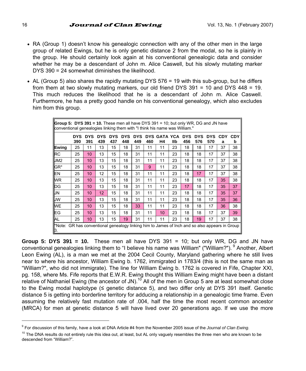- RA (Group 1) doesn't know his genealogic connection with any of the other men in the large group of related Ewings, but he is only genetic distance 2 from the modal, so he is plainly in the group. He should certainly look again at his conventional genealogic data and consider whether he may be a descendant of John m. Alice Caswell, but his slowly mutating marker DYS 390 = 24 somewhat diminishes the likelihood.
- AL (Group 5) also shares the rapidly mutating DYS 576 = 19 with this sub-group, but he differs from them at two slowly mutating markers, our old friend DYS 391 = 10 and DYS 448 = 19. This much reduces the likelihood that he is a descendant of John m. Alice Caswell. Furthermore, he has a pretty good handle on his conventional genealogy, which also excludes him from this group.

|                                                                                                      | Group 5: DYS 391 = 10. These men all have DYS 391 = 10; but only WR, DG and JN have<br>conventional genealogies linking them with "I think his name was William." |                   |                   |                   |                   |                   |     |                    |     |                   |                   |                   |                 |                 |
|------------------------------------------------------------------------------------------------------|-------------------------------------------------------------------------------------------------------------------------------------------------------------------|-------------------|-------------------|-------------------|-------------------|-------------------|-----|--------------------|-----|-------------------|-------------------|-------------------|-----------------|-----------------|
|                                                                                                      | DYS<br>390                                                                                                                                                        | <b>DYS</b><br>391 | <b>DYS</b><br>439 | <b>DYS</b><br>437 | <b>DYS</b><br>448 | <b>DYS</b><br>449 | 460 | DYS GATA YCA<br>Н4 | llb | <b>DYS</b><br>456 | <b>DYS</b><br>576 | <b>DYS</b><br>570 | <b>CDY</b><br>a | <b>CDY</b><br>b |
| Ewing                                                                                                | 25                                                                                                                                                                | 11                | 13                | 15                | 18                | 31                | 11  | 11                 | 23  | 18                | 18                | 17                | 37              | 38              |
| <b>RC</b>                                                                                            | 25                                                                                                                                                                | 10                | 13                | 15                | 18                | 31                | 11  | 11                 | 23  | 18                | 18                | 17                | 37              | 38              |
| JM2                                                                                                  | 25                                                                                                                                                                | 10                | 13                | 15                | 18                | 31                | 11  | 11                 | 23  | 18                | 18                | 17                | 37              | 38              |
| GR*                                                                                                  | 25                                                                                                                                                                | 10                | 13                | 15                | 18                | 31                | 9   | 11                 | 23  | 18                | 18                | 17                | 37              | 38              |
| EN                                                                                                   | 25                                                                                                                                                                | 10                | 12                | 15                | 18                | 31                | 11  | 11                 | 23  | 18                | 17                | 17                | 37              | 38              |
| <b>WR</b>                                                                                            | 25                                                                                                                                                                | 10                | 13                | 15                | 18                | 31                | 11  | 11                 | 23  | 18                | 18                | 17                | 35              | 38              |
| DG                                                                                                   | 25                                                                                                                                                                | 10                | 13                | 15                | 18                | 31                | 11  | 11                 | 23  | 17                | 18                | 17                | 35              | 37              |
| JN                                                                                                   | 25                                                                                                                                                                | 10                | 12                | 15                | 18                | 31                | 11  | 11                 | 23  | 18                | 18                | 17                | 35              | 37              |
| <b>JW</b>                                                                                            | 25                                                                                                                                                                | 10                | 13                | 15                | 18                | 31                | 11  | 11                 | 23  | 18                | 18                | 17                | 35              | 36              |
| <b>WE</b>                                                                                            | 25                                                                                                                                                                | 10                | 13                | 15                | 18                | 33                | 11  | 11                 | 23  | 18                | 18                | 17                | 36              | 38              |
| EG                                                                                                   | 25                                                                                                                                                                | 10                | 13                | 15                | 18                | 31                | 11  | 10                 | 23  | 18                | 18                | 17                | 37              | 39              |
| AL                                                                                                   | 25                                                                                                                                                                | 10                | 13                | 15                | 19                | 31                | 11  | 11                 | 23  | 18                | 19                | 17                | 37              | 38              |
| *Note: GR has conventional genealogy linking him to James of Inch and so also appears in Group<br>3. |                                                                                                                                                                   |                   |                   |                   |                   |                   |     |                    |     |                   |                   |                   |                 |                 |

**Group 5: DYS 391 = 10.** These men all have DYS 391 = 10; but only WR, DG and JN have conventional genealogies linking them to "I believe his name was William" ("William?"). <sup>9</sup> Another, Albert Leon Ewing (AL), is a man we met at the 2004 Cecil County, Maryland gathering where he still lives near to where his ancestor, William Ewing b. 1762, immigrated in 1783/4 (this is not the same man as "William?", who did not immigrate). The line for William Ewing b. 1762 is covered in Fife, Chapter XXI, pg. 158, where Ms. Fife reports that E.W.R. Ewing thought this William Ewing might have been a distant relative of Nathaniel Ewing (the ancestor of JN).<sup>10</sup> All of the men in Group 5 are at least somewhat close to the Ewing modal haplotype (≤ genetic distance 5), and two differ only at DYS 391 itself. Genetic distance 5 is getting into borderline territory for adducing a relationship in a genealogic time frame. Even assuming the relatively fast mutation rate of .004, half the time the most recent common ancestor (MRCA) for men at genetic distance 5 will have lived over 20 generations ago. If we use the more

l

<sup>9</sup> For discussion of this family, have a look at DNA Article #4 from the November 2005 issue of the *Journal of Clan Ewing*.

 $10$  The DNA results do not entirely rule this idea out, at least, but AL only vaguely resembles the three men who are known to be descended from "William?".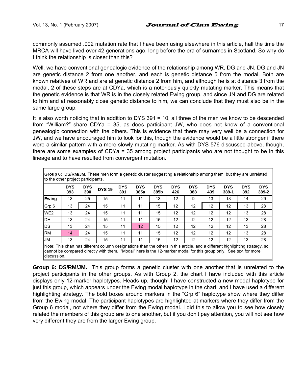commonly assumed .002 mutation rate that I have been using elsewhere in this article, half the time the MRCA will have lived over 42 generations ago, long before the era of surnames in Scotland. So why do I think the relationship is closer than this?

Well, we have conventional genealogic evidence of the relationship among WR, DG and JN. DG and JN are genetic distance 2 from one another, and each is genetic distance 5 from the modal. Both are known relatives of WR and are at genetic distance 2 from him, and although he is at distance 3 from the modal, 2 of these steps are at CDYa, which is a notoriously quickly mutating marker. This means that the genetic evidence is that WR is in the closely related Ewing group, and since JN and DG are related to him and at reasonably close genetic distance to him, we can conclude that they must also be in the same large group.

It is also worth noticing that in addition to DYS 391 = 10, all three of the men we know to be descended from "William?" share CDYa = 35, as does participant JW, who does not know of a conventional genealogic connection with the others. This is evidence that there may very well be a connection for JW, and we have encouraged him to look for this, though the evidence would be a little stronger if there were a similar pattern with a more slowly mutating marker. As with DYS 576 discussed above, though, there are some examples of CDYa = 35 among project participants who are not thought to be in this lineage and to have resulted from convergent mutation.

|                 | <b>DYS</b><br>393 | <b>DYS</b><br>390 | <b>DYS 19</b> | <b>DYS</b><br>391 | <b>DYS</b><br>385a | <b>DYS</b><br>385b | <b>DYS</b><br>426 | <b>DYS</b><br>388 | <b>DYS</b><br>439 | <b>DYS</b><br>389-1 | <b>DYS</b><br>392 | <b>DYS</b><br>389-2 |
|-----------------|-------------------|-------------------|---------------|-------------------|--------------------|--------------------|-------------------|-------------------|-------------------|---------------------|-------------------|---------------------|
| Ewing           | 13                | 25                | 15            | 11                | 11                 | 13                 | 12                | 12                | 13                | 13                  | 14                | 29                  |
| Grp 6           | 13                | 24                | 15            | 11                | 11                 | 15                 | 12                | 12                | 12                | 12                  | 13                | 28                  |
| WE <sub>2</sub> | 13                | 24                | 15            | 11                | 11                 | 15                 | 12                | 12                | 12                | 12                  | 13                | 28                  |
| DH              | 13                | 24                | 15            | 11                | 11                 | 15                 | 12                | 12                | 12                | 12                  | 13                | 28                  |
| <b>DS</b>       | 13                | 24                | 15            | 11                | 12                 | 15                 | 12                | 12                | 12                | 12                  | 13                | 28                  |
| <b>RM</b>       | 14                | 24                | 15            | 11                | 11                 | 15                 | 12                | 12                | 12                | 12                  | 13                | 28                  |
| <b>JM</b>       | 13                | 24                | 15            | 11                | 11                 | 15                 | 12                | 12                | 12                | 12                  | 13                | 28                  |

**Group 6: DS/RM/JM.** This group forms a genetic cluster with one another that is unrelated to the project participants in the other groups. As with Group 2, the chart I have included with this article displays only 12-marker haplotypes. Heads up, though! I have constructed a new modal haplotype for just this group, which appears under the Ewing modal haplotype in the chart, and I have used a different highlighting strategy. The bold boxes around markers in the "Grp 6" haplotype show where they differ from the Ewing modal. The participant haplotypes are highlighted at markers where they differ from the Group 6 modal, not where they differ from the Ewing modal. I did this to allow you to see how closely related the members of this group are to one another, but if you don't pay attention, you will not see how very different they are from the larger Ewing group.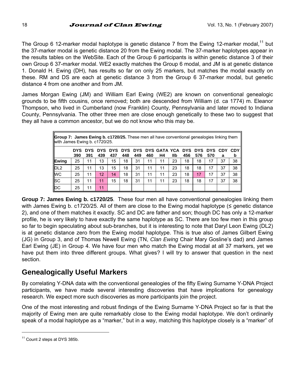The Group 6 12-marker modal haplotype is genetic distance 7 from the Ewing 12-marker modal,<sup>11</sup> but the 37-marker modal is genetic distance 20 from the Ewing modal. The 37-marker haplotypes appear in the results tables on the WebSite. Each of the Group 6 participants is within genetic distance 3 of their own Group 6 37-marker modal. WE2 exactly matches the Group 6 modal, and JM is at genetic distance 1. Donald H. Ewing (DH), has results so far on only 25 markers, but matches the modal exactly on these. RM and DS are each at genetic distance 3 from the Group 6 37-marker modal, but genetic distance 4 from one another and from JM.

James Morgan Ewing (JM) and William Earl Ewing (WE2) are known on conventional genealogic grounds to be fifth cousins, once removed; both are descended from William (d. ca 1774) m. Eleanor Thompson, who lived in Cumberland (now Franklin) County, Pennsylvania and later moved to Indiana County, Pennsylvania. The other three men are close enough genetically to these two to suggest that they all have a common ancestor, but we do not know who this may be.

|                 | <b>Group 7: James Ewing b. c1720/25.</b> These men all have conventional genealogies linking them<br>with James Ewing b. c1720/25. |                   |                   |                   |     |     |     |                                    |     |     |     |     |              |                 |
|-----------------|------------------------------------------------------------------------------------------------------------------------------------|-------------------|-------------------|-------------------|-----|-----|-----|------------------------------------|-----|-----|-----|-----|--------------|-----------------|
|                 | DYS.<br>390                                                                                                                        | <b>DYS</b><br>391 | <b>DYS</b><br>439 | <b>DYS</b><br>437 | 448 | 449 | 460 | DYS DYS DYS GATA YCA DYS DYS<br>Η4 | llb | 456 | 576 | 570 | DYS CDY<br>а | <b>CDY</b><br>b |
| Ewing           | 25                                                                                                                                 | 11                | 13                | 15                | 18  | 31  | 11  | 11                                 | 23  | 18  | 18  | 17  | 37           | 38              |
| DL <sub>2</sub> | 25                                                                                                                                 | 11                | 13                | 15                | 18  | 31  | 11  | 11                                 | 23  | 18  | 18  | 17  | 37           | 38              |
| <b>WC</b>       | 25                                                                                                                                 | 11                | 12                | 14                | 18  | 31  | 11  | 11                                 | 23  | 18  | 17  | 17  | 37           | 38              |
| <sub>SC</sub>   | 25                                                                                                                                 | 11                | 11                | 15                | 18  | 31  | 11  | 11                                 | 23  | 18  | 18  | 17  | 37           | 38              |
| pc              | 25                                                                                                                                 | 11                | 11                |                   |     |     |     |                                    |     |     |     |     |              |                 |

**Group 7: James Ewing b. c1720/25**. These four men all have conventional genealogies linking them with James Ewing b. c1720/25. All of them are close to the Ewing modal haplotype ( $\leq$  genetic distance 2), and one of them matches it exactly. SC and DC are father and son; though DC has only a 12-marker profile, he is very likely to have exactly the same haplotype as SC. There are too few men in this group so far to begin speculating about sub-branches, but it is interesting to note that Daryl Leon Ewing (DL2) is at genetic distance zero from the Ewing modal haplotype. This is true also of James Gilbert Ewing (JG) in Group 3, and of Thomas Newell Ewing (TN, *Clan Ewing* Chair Mary Gosline's dad) and James Earl Ewing (JE) in Group 4. We have four men who match the Ewing modal at all 37 markers, yet we have put them into three different groups. What gives? I will try to answer that question in the next section.

## **Genealogically Useful Markers**

By correlating Y-DNA data with the conventional genealogies of the fifty Ewing Surname Y-DNA Project participants, we have made several interesting discoveries that have implications for genealogy research. We expect more such discoveries as more participants join the project.

One of the most interesting and robust findings of the Ewing Surname Y-DNA Project so far is that the majority of Ewing men are quite remarkably close to the Ewing modal haplotype. We don't ordinarily speak of a modal haplotype as a "marker," but in a way, matching this haplotype closely is a "marker" of

l

<sup>&</sup>lt;sup>11</sup> Count 2 steps at DYS 385b.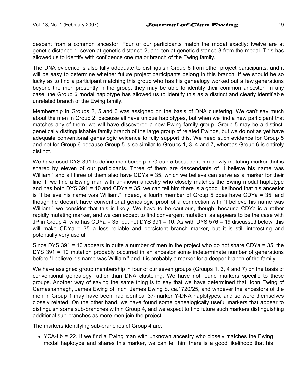descent from a common ancestor. Four of our participants match the modal exactly; twelve are at genetic distance 1, seven at genetic distance 2, and ten at genetic distance 3 from the modal. This has allowed us to identify with confidence one major branch of the Ewing family.

The DNA evidence is also fully adequate to distinguish Group 6 from other project participants, and it will be easy to determine whether future project participants belong in this branch. If we should be so lucky as to find a participant matching this group who has his genealogy worked out a few generations beyond the men presently in the group, they may be able to identify their common ancestor. In any case, the Group 6 modal haplotype has allowed us to identify this as a distinct and clearly identifiable unrelated branch of the Ewing family.

Membership in Groups 2, 5 and 6 was assigned on the basis of DNA clustering. We can't say much about the men in Group 2, because all have unique haplotypes, but when we find a new participant that matches any of them, we will have discovered a new Ewing family group. Group 5 may be a distinct, genetically distinguishable family branch of the large group of related Ewings, but we do not as yet have adequate conventional genealogic evidence to fully support this. We need such evidence for Group 5 and not for Group 6 because Group 5 is so similar to Groups 1, 3, 4 and 7, whereas Group 6 is entirely distinct.

We have used DYS 391 to define membership in Group 5 because it is a slowly mutating marker that is shared by eleven of our participants. Three of them are descendants of "I believe his name was William," and all three of them also have CDYa = 35, which we believe can serve as a marker for their line. If we find a Ewing man with unknown ancestry who closely matches the Ewing modal haplotype and has both DYS 391 = 10 and CDYa = 35, we can tell him there is a good likelihood that his ancestor is "I believe his name was William." Indeed, a fourth member of Group 5 does have CDYa = 35, and though he doesn't have conventional genealogic proof of a connection with "I believe his name was William," we consider that this is likely. We have to be cautious, though, because CDYa is a rather rapidly mutating marker, and we can expect to find convergent mutation, as appears to be the case with JP in Group 4, who has CDYa = 35, but not DYS 391 = 10. As with DYS 576 = 19 discussed below, this will make CDYa = 35 a less reliable and persistent branch marker, but it is still interesting and potentially very useful.

Since DYS 391 = 10 appears in quite a number of men in the project who do not share CDYa = 35, the DYS 391 = 10 mutation probably occurred in an ancestor some indeterminate number of generations before "I believe his name was William," and it is probably a marker for a deeper branch of the family.

We have assigned group membership in four of our seven groups (Groups 1, 3, 4 and 7) on the basis of conventional genealogy rather than DNA clustering. We have not found markers specific to these groups. Another way of saying the same thing is to say that we have determined that John Ewing of Carnashannagh, James Ewing of Inch, James Ewing b. ca.1720/25, and whoever the ancestors of the men in Group 1 may have been had identical 37-marker Y-DNA haplotypes, and so were themselves closely related. On the other hand, we have found some genealogically useful markers that appear to distinguish some sub-branches within Group 4, and we expect to find future such markers distinguishing additional sub-branches as more men join the project.

The markers identifying sub-branches of Group 4 are:

• YCA-IIb = 22. If we find a Ewing man with unknown ancestry who closely matches the Ewing modal haplotype and shares this marker, we can tell him there is a good likelihood that his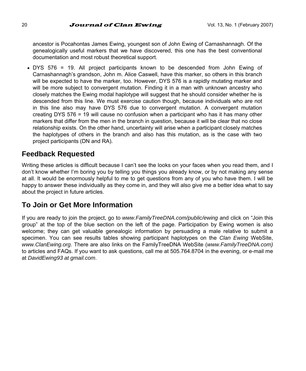ancestor is Pocahontas James Ewing, youngest son of John Ewing of Carnashannagh. Of the genealogically useful markers that we have discovered, this one has the best conventional documentation and most robust theoretical support.

• DYS 576 = 19. All project participants known to be descended from John Ewing of Carnashannagh's grandson, John m. Alice Caswell, have this marker, so others in this branch will be expected to have the marker, too. However, DYS 576 is a rapidly mutating marker and will be more subject to convergent mutation. Finding it in a man with unknown ancestry who closely matches the Ewing modal haplotype will suggest that he should consider whether he is descended from this line. We must exercise caution though, because individuals who are not in this line also may have DYS 576 due to convergent mutation. A convergent mutation creating DYS 576 = 19 will cause no confusion when a participant who has it has many other markers that differ from the men in the branch in question, because it will be clear that no close relationship exists. On the other hand, uncertainty will arise when a participant closely matches the haplotypes of others in the branch and also has this mutation, as is the case with two project participants (DN and RA).

## **Feedback Requested**

Writing these articles is difficult because I can't see the looks on your faces when you read them, and I don't know whether I'm boring you by telling you things you already know, or by not making any sense at all. It would be enormously helpful to me to get questions from any of you who have them. I will be happy to answer these individually as they come in, and they will also give me a better idea what to say about the project in future articles.

## **To Join or Get More Information**

If you are ready to join the project, go to *www.FamilyTreeDNA.com/public/ewing* and click on "Join this group" at the top of the blue section on the left of the page. Participation by Ewing women is also welcome; they can get valuable genealogic information by persuading a male relative to submit a specimen. You can see results tables showing participant haplotypes on the *Clan Ewing* WebSite, *www.ClanEwing.org*. There are also links on the FamilyTreeDNA WebSite (*www.FamilyTreeDNA.com)*  to articles and FAQs. If you want to ask questions, call me at 505.764.8704 in the evening, or e-mail me at *DavidEwing93 at gmail.com*.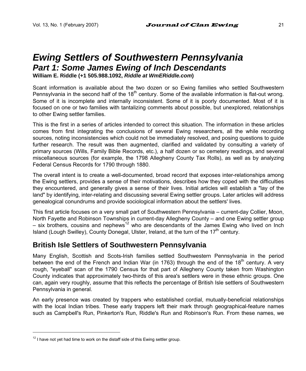# *Ewing Settlers of Southwestern Pennsylvania Part 1: Some James Ewing of Inch Descendants*

**William E. Riddle (+1 505.988.1092,** *Riddle at WmERiddle.com***)** 

Scant information is available about the two dozen or so Ewing families who settled Southwestern Pennsylvania in the second half of the 18<sup>th</sup> century. Some of the available information is flat-out wrong. Some of it is incomplete and internally inconsistent. Some of it is poorly documented. Most of it is focused on one or two families with tantalizing comments about possible, but unexplored, relationships to other Ewing settler families.

This is the first in a series of articles intended to correct this situation. The information in these articles comes from first integrating the conclusions of several Ewing researchers, all the while recording sources, noting inconsistencies which could not be immediately resolved, and posing questions to guide further research. The result was then augmented, clarified and validated by consulting a variety of primary sources (Wills, Family Bible Records, etc.), a half dozen or so cemetery readings, and several miscellaneous sources (for example, the 1798 Allegheny County Tax Rolls), as well as by analyzing Federal Census Records for 1790 through 1880.

The overall intent is to create a well-documented, broad record that exposes inter-relationships among the Ewing settlers, provides a sense of their motivations, describes how they coped with the difficulties they encountered, and generally gives a sense of their lives. Initial articles will establish a "lay of the land" by identifying, inter-relating and discussing several Ewing settler groups. Later articles will address genealogical conundrums and provide sociological information about the settlers' lives.

This first article focuses on a very small part of Southwestern Pennsylvania – current-day Collier, Moon, North Fayette and Robinson Townships in current-day Allegheny County – and one Ewing settler group  $-$  six brothers, cousins and nephews<sup>12</sup> who are descendants of the James Ewing who lived on Inch Island (Lough Swilley), County Donegal, Ulster, Ireland, at the turn of the  $17<sup>th</sup>$  century.

## **British Isle Settlers of Southwestern Pennsylvania**

Many English, Scottish and Scots-Irish families settled Southwestern Pennsylvania in the period between the end of the French and Indian War (in 1763) through the end of the 18<sup>th</sup> century. A very rough, "eyeball" scan of the 1790 Census for that part of Allegheny County taken from Washington County indicates that approximately two-thirds of this area's settlers were in these ethnic groups. One can, again very roughly, assume that this reflects the percentage of British Isle settlers of Southwestern Pennsylvania in general.

An early presence was created by trappers who established cordial, mutually-beneficial relationships with the local Indian tribes. These early trappers left their mark through geographical-feature names such as Campbell's Run, Pinkerton's Run, Riddle's Run and Robinson's Run. From these names, we

l

 $12$  I have not yet had time to work on the distaff side of this Ewing settler group.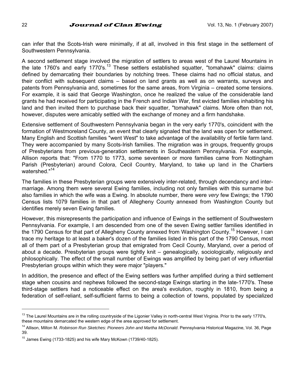can infer that the Scots-Irish were minimally, if at all, involved in this first stage in the settlement of Southwestern Pennsylvania.

A second settlement stage involved the migration of settlers to areas west of the Laurel Mountains in the late 1760's and early 1770's.13 These settlers established squatter, "tomahawk" claims: claims defined by demarcating their boundaries by notching trees. These claims had no official status, and their conflict with subsequent claims – based on land grants as well as on warrants, surveys and patents from Pennsylvania and, sometimes for the same areas, from Virginia – created some tensions. For example, it is said that George Washington, once he realized the value of the considerable land grants he had received for participating in the French and Indian War, first evicted families inhabiting his land and then invited them to purchase back their squatter, "tomahawk" claims. More often than not, however, disputes were amicably settled with the exchange of money and a firm handshake.

Extensive settlement of Southwestern Pennsylvania began in the very early 1770's, coincident with the formation of Westmoreland County, an event that clearly signaled that the land was open for settlement. Many English and Scottish families "went West" to take advantage of the availability of fertile farm land. They were accompanied by many Scots-Irish families. The migration was in groups, frequently groups of Presbyterians from previous-generation settlements in Southeastern Pennsylvania. For example, Allison reports that: "From 1770 to 1773, some seventeen or more families came from Nottingham Parish (Presbyterian) around Colora, Cecil Country, Maryland, to take up land in the Chartiers watershed."<sup>14</sup>

The families in these Presbyterian groups were extensively inter-related, through decendancy and intermarriage. Among them were several Ewing families, including not only families with this surname but also families in which the wife was a Ewing. In absolute number, there were *very* few Ewings; the 1790 Census lists 1079 families in that part of Allegheny County annexed from Washington County but identifies merely seven Ewing families.

However, this misrepresents the participation and influence of Ewings in the settlement of Southwestern Pennsylvania. For example, I am descended from one of the seven Ewing settler families identified in the 1790 Census for that part of Allegheny County annexed from Washington County.<sup>15</sup> However. I can trace my heritage to at least a baker's dozen of the families listed in this part of the 1790 Census, most all of them part of a Presbyterian group that emigrated from Cecil County, Maryland, over a period of about a decade. Presbyterian groups were tightly knit – genealogically, sociologically, religiously and philosophically. The effect of the small number of Ewings was amplified by being part of very influential Presbyterian groups within which they were major "players."

In addition, the presence and effect of the Ewing settlers was further amplified during a third settlement stage when cousins and nephews followed the second-stage Ewings starting in the late-1770's. These third-stage settlers had a noticeable effect on the area's evolution, roughly in 1810, from being a federation of self-reliant, self-sufficient farms to being a collection of towns, populated by specialized

l

<sup>&</sup>lt;sup>13</sup> The Laurel Mountains are in the rolling countryside of the Ligonier Valley in north-central West Virginia. Prior to the early 1770's, these mountains demarcated the western edge of the area approved for settlement.

<sup>14</sup> Allison, Milton M. *Robinson Run Sketches: Pioneers John and Martha McDonald*. Pennsylvania Historical Magazine, Vol. 36, Page 39.

 $15$  James Ewing (1733-1825) and his wife Mary McKown (1739/40-1825).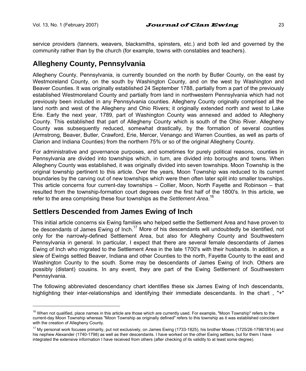l

service providers (tanners, weavers, blacksmiths, spinsters, etc.) and both led and governed by the community rather than by the church (for example, towns with constables and teachers).

## **Allegheny County, Pennsylvania**

Allegheny County, Pennsylvania, is currently bounded on the north by Butler County, on the east by Westmoreland County, on the south by Washington County, and on the west by Washington and Beaver Counties. It was originally established 24 September 1788, partially from a part of the previously established Westmoreland County and partially from land in northwestern Pennsylvania which had not previously been included in any Pennsylvania counties. Allegheny County originally comprised all the land north and west of the Allegheny and Ohio Rivers; it originally extended north and west to Lake Erie. Early the next year, 1789, part of Washington County was annexed and added to Allegheny County. This established that part of Allegheny County which is south of the Ohio River. Allegheny County was subsequently reduced, somewhat drastically, by the formation of several counties (Armstrong, Beaver, Butler, Crawford, Erie, Mercer, Venango and Warren Counties, as well as parts of Clarion and Indiana Counties) from the northern 75% or so of the original Allegheny County.

For administrative and governance purposes, and sometimes for purely political reasons, counties in Pennsylvania are divided into townships which, in turn, are divided into boroughs and towns. When Allegheny County was established, it was originally divided into seven townships. Moon Township is the original township pertinent to this article. Over the years, Moon Township was reduced to its current boundaries by the carving out of new townships which were then often later split into smaller townships. This article concerns four current-day townships – Collier, Moon, North Fayette and Robinson – that resulted from the township-formation court degrees over the first half of the 1800's. In this article, we refer to the area comprising these four townships as the *Settlement Area*. 16

## **Settlers Descended from James Ewing of Inch**

This initial article concerns six Ewing families who helped settle the Settlement Area and have proven to be descendants of James Ewing of Inch.<sup>17</sup> More of his descendants will undoubtedly be identified, not only for the narrowly-defined Settlement Area, but also for Allegheny County and Southwestern Pennsylvania in general. In particular, I expect that there are several female descendants of James Ewing of Inch who migrated to the Settlement Area in the late 1700's with their husbands. In addition, a slew of Ewings settled Beaver, Indiana and other Counties to the north, Fayette County to the east and Washington County to the south. Some may be descendants of James Ewing of Inch. Others are possibly (distant) cousins. In any event, they are part of the Ewing Settlement of Southwestern Pennsylvania.

The following abbreviated descendancy chart identifies these six James Ewing of Inch descendants, highlighting their inter-relationships and identifying their immediate descendants. In the chart, "+"

<sup>&</sup>lt;sup>16</sup> When not qualified, place names in this article are those which are currently used. For example, "Moon Township" refers to the current-day Moon Township whereas "Moon Township as originally defined" refers to this township as it was established coincident with the creation of Allegheny County.

<sup>&</sup>lt;sup>17</sup> My personal work focuses primarily, put not exclusively, on James Ewing (1733-1825), his brother Moses (1725/26-1798/1814) and his nephew Alexander (1740-1798) as well as their descendants. I have worked on the other Ewing settlers, but for them I have integrated the extensive information I have received from others (after checking of its validity to at least some degree).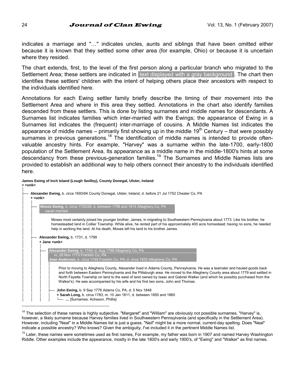**James Ewing of Inch Island (Lough Swilley), County Donegal, Ulster, Ireland**

indicates a marriage and "…" indicates uncles, aunts and siblings that have been omitted either because it is known that they settled some other area (for example, Ohio) or because it is uncertain where they resided.

The chart extends, first, to the level of the first person along a particular branch who migrated to the Settlement Area; these settlers are indicated in text displayed with a gray background. The chart then identifies these settlers' children with the intent of helping others place their ancestors with respect to the individuals identified here.

Annotations for each Ewing settler family briefly describe the timing of their movement into the Settlement Area and where in this area they settled. Annotations in the chart also identify families descended from these settlers. This is done by listing surnames and middle names for descendants. A Surnames list indicates families which inter-married with the Ewings; the appearance of Ewing in a Surnames list indicates the (frequent) inter-marriage of cousins. A Middle Names list indicates the appearance of middle names – primarily first showing up in the middle 19<sup>th</sup> Century – that were possibly surnames in previous generations.<sup>18</sup> The identification of middle names is intended to provide oftenvaluable ancestry hints. For example, "Harvey" was a surname within the late-1700, early-1800 population of the Settlement Area. Its appearance as a middle name in the middle-1800's hints at some descendancy from these previous-generation families.<sup>19</sup> The Surnames and Middle Names lists are provided to establish an additional way to help others connect their ancestry to the individuals identified here.

**+ <unk>**  │ ├── **Alexander Ewing,** b. circa 1693/94 County Donegal, Ulster, Ireland, d. before 21 Jul 1752 Chester Co, PA │ **+ <unk>**  │ │ **Noses Ewing**, b. circa 1725/26; d. between 1798 and 1814 Allegheny Co, PA │ │ never married │ │ Moses most certainly joined his younger brother, James, in migrating to Southwestern Pennsylvania about 1773. Like his brother, he homesteaded land in Collier Township. While alive, he rented part of his approximately 400 acre homestead; having no sons, he needed help in working the land. At his death, Moses left his land to his brother James. │ │ │ ├── **Alexander Ewing,** b. 1731, d. 1799 │ │ **+ Jane <unk>**  │ │ │ **Iexander Ewing**, b. 1740; d. Aug 1798 Allegheny Co, PA │ │ │ m. 28 Nov 1775 Franklin Co, PA │ │ │ **Jean Anderson**, b. circa 1748 Franklin Co, PA; d. circa 1833 Allegheny Co, PA │ │ │ │ Prior to moving to Allegheny County, Alexander lived in Adams County, Pennsylvania. He was a teamster and hauled goods back and forth between Eastern Pennsylvania and the Pittsburgh area. He moved to the Allegheny County area about 1779 and settled in North Fayette Township on land to the west of land owned by Isaac and Gabriel Walker (and which he possibly purchased from the Walker's). He was accompanied by his wife and his first two sons, John and Thomas. │ │ │ │ **John Ewing, b. 9 Sep 1776 Adams Co, PA, d. 5 Nov 1848** + Sarah Long, b. circa 1783, m. 10 Jan 1811, d. between 1850 and 1860 │ │ │ │ └── **…** [Surnames: Acheson, Phillis] l

#### <sup>18</sup> The selection of these names is highly subjective. "Margaret" and "William" are obviously *not* possible surnames. "Harvey" is, however, a likely surname because Harvey families lived in Southwestern Pennsylvania (and specifically in the Settlement Area). However, including "Neal" in a Middle Names list is just a guess. "Neil" might be a more normal, current-day spelling. Does "Neal" indicate a possible ancestry? Who knows? Given the ambiguity, I've included it in the pertinent Middle Names list.

<sup>19</sup> Later, these names were sometimes used as first names, For example, my father was born in 1907 and named Harvey Washington Riddle. Other examples include the appearance, mostly in the late 1800's and early 1900's, of "Ewing" and "Walker" as first names.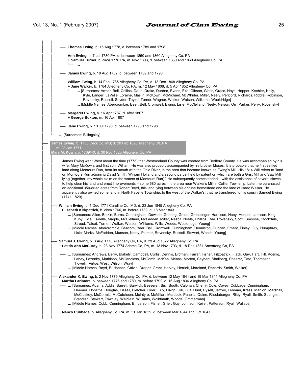│ │ │ │ **Thomas Ewing,** b. 15 Aug 1778, d. between 1789 and 1798 │ │ │ │ Ann Ewing, b. 7 Jul 1780 PA, d. between 1850 and 1860 Allegheny Co, PA │ │ │ │ **+ Samuel Turner,** b. circa 1770 PA, m. Nov 1803, d. between 1850 and 1860 Allegheny Co, PA │ │ │ │ └── **…** │ │ │ │ │ │ │ ├── **James Ewing,** b. 19 Aug 1782, d. between 1789 and 1798 │ │ │ │ William Ewing, b. 14 Feb 1785 Allegheny Co, PA, d. 13 Dec 1868 Allegheny Co, PA │ │ │ │ **+ Jane Walker,** b. 1784 Allegheny Co, PA, m. 12 May 1808, d. 5 Apr 1852 Allegheny Co, PA │ │ │ │ └── **…** [Surnames: Armor, Bell, Collins, Daub, Drake, Dunbar, Evans, Fife, Gibson, Glass, Grace, Hays, Hopper, Keebler, Kelly, Kyle, Langer, LaVelle, Loraine, Maslin, McKown, McMichael, McWhirler, Miller, Neely, Pericord, Richards, Riddle, Robinson, Rovensky, Russell, Snyder, Taylor, Turner, Wagner, Walker, Watson, Williams, Wooldridge] │ │ │ │ **…** [Middle Names: Abercrombie, Beer, Bell, Cromwell, Ewing, Lisle, McClelland, Neely, Nelson, Orr, Parker, Perry, Rovensky] │ │ │ │ **Margaret Ewing, b. 16 Apr 1787, d. after 1807** │ │ │ │ **+ George Buxton,** m. 16 Apr 1807 │ │ │ │ Jane Ewing, b. 10 Jul 1790, d. between 1790 and 1798 │ │ │ │ │ └── **…** [Surnames: Billingsley] │ │ │ │ │ **James Ewing**, b. 1733 Cecil Co, MD; d. 20 Feb 1825 Allegheny C0, PA<br>│ │ │ │ m. 28 Jan 1771 │ │ **Mary McKown**, b. 1739/40; d. 30 Nov 1825 Allegheny Co, PA │ │ │ James Ewing went West about the time (1773) that Westmorland County was created from Bedford County. He was accompanied by his wife, Mary McKown, and first son, William. He was also probably accompanied by his brother Moses. It is probable that he first settled land along Montours Run, near its mouth with the Ohio River, in the area that became known as Ewing's Mill. His 1814 Will refers to "land on Montours Run adjoining David Smith, William Holland and a second parcel held by patent on which are both a Grist Mill and Saw Mill lying (together, my whole claim on the waters of Montours Run)." He subsequently homesteaded – with the assistance of several slaves to help clear his land and erect improvements – some 680 acres in the area near Walker's Mill in Collier Township. Later, he purchased an additional 350-or-so acres from Robert Boyd, this land lying between his original homestead and the land of Isaac Walker. He apparently also owned some land in North Fayette Township, to the west of the Walker's, that he transferred to his cousin Samuel Ewing  $(1741 - 1820)$ . │ │ │ William Ewing, b. 1 Dec 1771 Caroline Co, MD, d. 23 Jun 1845 Allegheny Co, PA │ │ │ **+ Elizabeth Kirkpatrick,** b. circa 1766, m. before 1789, d. 18 Mar 1843 │ │ │ └── **…** [Surnames: Allen, Botkin, Burns, Cunningham, Dawson, Gehring, Grace, Groetzinger, Harbison, Hoey, Hooper, Jamison, King, Kuby, Kyle, LaVelle, Marple, McClelland, McFadden, Miller, Nesbit, Noble, Phillips, Rae, Rovensky, Scott, Smoose, Stockdale, Stroud, Talcot, Turner, Walker, Watson, Williams, Wills, Woods, Wooldridge, Young] │ │ │ **…** [Middle Names: Abercrombie, Beacom, Beer, Bell, Cromwell, Cunningham, Denniston, Duncan, Emery, Finley, Guy, Humphrey, Lisle, Marks, McFadden, Munson, Neely, Plumer, Rovensky, Russell, Stewart, Woods, Young] │ │ │ Samuel J. Ewing, b. 3 Aug 1773 Allegheny Co, PA, d. 29 Aug 1822 Allegheny Co, PA │ │ │ **+ Letitia Ann McCurdy,** b. 23 Nov 1774 Adams Co, PA, m. 13 Nov 1793, d. 18 Dec 1881 Armstrong Co, PA │ │ │ │ │ │ │ └── **…** [Surnames: Andrews, Berry, Blakely, Campbell, Curtis, Dennis, Erdman, Farrar, Fisher, Fitzpatrick, Flack, Gay, Hart, Hill, Koenig, Laney, Lazenby, Mathison, McCandless, McComb, McKee, Means, Morton, Seybert, Shallberg, Shearer, Tate, Thompson, Tidwell, Virtue, West, Wilson, Wrayl │ │ │ **…** [Middle Names: Boyd, Buchanan, Calvin, Draper, Grant, Harvey, Herrick, Moreland, Records, Smith, Walker] │ │ │ │ │ ├── **Alexander K. Ewing,** b. 2 Nov 1775 Allegheny Co, PA, d. between 12 May 1841 and 19 Mar 1841 Allegheny Co, PA + Martha Larimore, b. between 1776 and 1780, m. before 1792, d. 16 Aug 1834 Allegheny Co, PA │ │ │ ├── **…** [Surnames: Adams, Addis, Barrett, Barwick, Besserer, Bisi, Booth, Calohan, Cherry, Cole, Covey, Cubbage, Cunningham, Deemer, Doolittle, Douglas, Fissell, Fletcher, Grier, Guy, Haigh, Hill, Hulf, Hunt, Hysell, Jeffrey, Lehman, Kress, Manion, Marshall, │ │ │ │ McCluskey, McCormic, McCutcheon, McIntyre, McMillan, Murdock, Panella, Quinn, Rhodabarger, Riley, Ryall, Smith, Spangler, Standish, Stewart, Townley, Weidlein, Williams, Wolhlmuth, Woods, Zimmerman] │ │ │ │ **…** [Middle Names: Cobb, Cunningham, Emberson, Fisher, Grier, Guy, Johnson, Keiler, Patterson, Ryall, Wallace] │ │ │ │ │ │ │ **+ Nancy Cubbage,** b. Allegheny Co, PA, m. 31 Jan 1839, d. between Mar 1844 and Oct 1847 │ │ │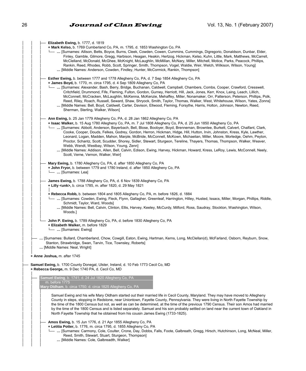| Elizabeth Ewing, b. 1777, d. 1819<br>+ Mark Kelso, b. 1769 Cumberland Co, PA, m. 1795, d. 1853 Washington Co, PA<br>-  [Surnames: Allison, Betts, Boyce, Burns, Cleek, Cowden, Cowen, Cummins, Cummings, Digregorio, Donaldson, Dunbar, Elder,<br>Finley, Gamble, Gilmore, Gregg, Harbison, Heagan, Heakin, Hertzog, Hickman, Kelso, Kuhn, Little, Mark, Matthews, McCarrell,<br>McClelland, McDonald, McGhee, McKnight, McLaughlin, McMillan, McNary, Miller, Mitchell, Motice, Parks, Peacock, Phillips,<br>Rankin, Reed, Rhodes, Robb, Scott, Springer, Smith, Thompson, Vogel, Waldie, Weir, Welch, Wilkison, Wilson, Young]<br>[Middle Names: Anderson, Cowden, Findley, Hunter, McCormick, Rankin, Thompson]                                                                                                                                                                                                                        |
|-------------------------------------------------------------------------------------------------------------------------------------------------------------------------------------------------------------------------------------------------------------------------------------------------------------------------------------------------------------------------------------------------------------------------------------------------------------------------------------------------------------------------------------------------------------------------------------------------------------------------------------------------------------------------------------------------------------------------------------------------------------------------------------------------------------------------------------------------------------------------------------------------------------------------------------------|
| Esther Ewing, b. between 1777 and 1778 Allegheny Co, PA, d. 7 Sep 1854 Allegheny Co, PA<br>+ James Boyd, b. 1770, m. circa 1795, d. 4 Sep 1809 Allegheny Co, PA<br>-  [Surnames: Alexander, Bash, Berry, Bridge, Buchanan, Caldwell, Campbell, Chambers, Combs, Cooper, Crawford, Cresswell,<br>Critchfield, Drummond, Fife, Fleming, Fulton, Gordon, Gurney, Herriott, Hill, Jack, Jones, Kerr, Knox, Laing, Leach, Lillich,<br>McConnell, McCracken, McLaughlin, McKenna, McKenzie, Mehaffey, Miller, Nonamaker, Orr, Patterson, Peterson, Phillips, Polk,<br>Reed, Riley, Roach, Russell, Seward, Shaw, Shryock, Smith, Taylor, Thomas, Walker, West, Whitehouse, Wilson, Yates, Zonns]<br>[Middle Names: Bell, Boyd, Caldwell, Carter, Davison, Ellwood, Fleming, Forsythe, Harris, Holton, Johnson, Newton, Reed,<br>Sherman, Sterling, Walker, Wilson]                                                                              |
| Ann Ewing, b. 25 Jan 1779 Allegheny Co, PA, d. 28 Jan 1862 Allegheny Co, PA<br>+ Isaac Walker, b. 15 Aug 1780 Allegheny Co, PA, m. 7 Jul 1808 Allegheny Co, PA, d. 25 Jun 1850 Allegheny Co, PA<br>-  [Surnames: Abbott, Anderson, Bayerbach, Bell, Blose, Boobyer, Boyd, Brenneman, Brownlee, Burkett, Calvert, Chalfant, Clark,<br>Cooke, Cooper, Douds, Felkes, Godrey, Gordon, Herron, Hickman, Hidge, Hill, Hutton, Irvin, Johnston, Kress, Kyle, Lawther,<br>Leonard, Logan, Madden, Mahon, Marple, McBride, McConnell, McKown, Michaelian, Miller, Moore, Morledge, Oehm, Peyton,<br>Proctor, Schantz, Scott, Scudder, Shorey, Sidler, Stewart, Sturgeon, Tereline, Thayers, Thomas, Thompson, Walker, Weaver,<br>Webb, Wendt, Westbay, Wilson, Young, Zenn]<br>[Middle Names: Addison, Allen, Bell, Calvin, Edison, Ewing, Harvey, Hickman, Howard, Kress, LeRoy, Lewis, McConnell, Neely,<br>Scott, Verne, Vernon, Walker, Weir] |
| Mary Ewing, b. 1780 Allegheny Co, PA, d. after 1850 Allegheny Co, PA<br>+ John Fryor, b. between 1779 and 1780 Ireland, d. after 1850 Allegheny Co, PA<br>L <sub>-</sub> [Surnames: Lea]                                                                                                                                                                                                                                                                                                                                                                                                                                                                                                                                                                                                                                                                                                                                                  |
| James Ewing, b. 1788 Allegheny Co, PA, d. 6 Nov 1839 Allegheny Co, PA<br>+ Lilly <unk>, b. circa 1785, m. after 1820, d. 29 May 1821<br/>+ Rebecca Robb, b. between 1804 and 1805 Allegheny Co, PA, m. before 1826, d. 1884<br/>-  [Surnames: Cowden, Ewing, Fleck, Flynn, Gallagher, Greenleaf, Harrington, Hilley, Husted, Issacs, Miller, Morgan, Phillips, Riddle,<br/>Schmidt, Taylor, Ward, Woods]<br/> [Middle Names: Bell, Calvin, Clinton, Ellis, Harvey, Keeley, McCurdy, Milford, Ross, Saudray, Stockton, Washington, Wilson,<br/>Woods.]</unk>                                                                                                                                                                                                                                                                                                                                                                               |
| John P. Ewing, b. 1789 Allegheny Co, PA, d. before 1830 Allegheny Co, PA<br>+ Elizabeth Walker, m. before 1829<br>[Surnames: Ewing]                                                                                                                                                                                                                                                                                                                                                                                                                                                                                                                                                                                                                                                                                                                                                                                                       |
| [Surnames: Bullard, Chamberland, Chow, Cowgill, Eaton, Ewing, Hartman, Kerns, Long, McClellan(d), McFarland, Osborn, Reyburn, Snow,<br>Stanton, Strawbridge, Swan, Tarvin, Tice, Townsley, Roberts]<br>[Middle Names: Neal, Wright]                                                                                                                                                                                                                                                                                                                                                                                                                                                                                                                                                                                                                                                                                                       |
| + Anne Joshua, m. after 1745<br>Samuel Ewing, b. 1700 County Donegal, Ulster, Ireland, d. 10 Feb 1773 Cecil Co, MD                                                                                                                                                                                                                                                                                                                                                                                                                                                                                                                                                                                                                                                                                                                                                                                                                        |
| + Rebecca George, m. 9 Dec 1740 PA, d. Cecil Co, MD<br>Samuel Ewing, b. 1741; d. 24 Jul 1820 Allegheny Co, PA<br>m. before 1775<br>Mary Oldham, b. circa 1750; d. circa 1825 Allegheny Co, PA                                                                                                                                                                                                                                                                                                                                                                                                                                                                                                                                                                                                                                                                                                                                             |
| Samuel Ewing and his wife Mary Oldham started out their married life in Cecil County, Maryland. They may have moved to Allegheny<br>County in steps, stopping in Redstone, near Uniontown, Fayette County, Pennsylvania. They were living in North Fayette Township by<br>the time of the 1800 Census but not, as well as can be determined, at the time of the previous 1790 Census. Their son Amos had married<br>by the time of the 1800 Census and is listed separately. Samuel and his son probably settled on land near the current town of Oakland in<br>North Fayette Township that he obtained from his cousin James Ewing (1733-1825).                                                                                                                                                                                                                                                                                          |
| Amos Ewing, b. 15 Jun 1776, d. 21 Apr 1855 Allegheny Co, PA<br>+ Letitia Potter, b. 1776, m. circa 1795, d. 1855 Allegheny Co, PA<br>[Surnames: Carmony, Cole, Coulter, Crone, Day, Dobbs, Falls, Foote, Galbreath, Gregg, Hirsch, Hutchinson, Long, McNeal, Miller,<br>Reed, Smith, Stewart, Stuart, Sturgeon, Thompson]<br>[Middle Names: Cole, Galbreadth, Walker]                                                                                                                                                                                                                                                                                                                                                                                                                                                                                                                                                                     |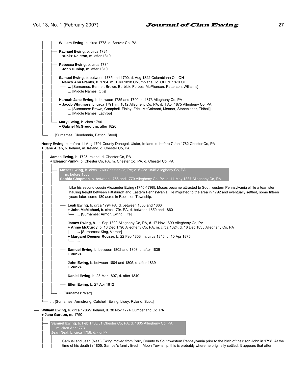| William Ewing, b. circa 1778, d. Beaver Co, PA                                                                                                                                                                                                                                                                     |
|--------------------------------------------------------------------------------------------------------------------------------------------------------------------------------------------------------------------------------------------------------------------------------------------------------------------|
| Rachael Ewing, b. circa 1784<br>+ <unk> Ralston, m. after 1810</unk>                                                                                                                                                                                                                                               |
| Rebecca Ewing, b. circa 1784<br>+ John Dunlap, m. after 1810                                                                                                                                                                                                                                                       |
| Samuel Ewing, b. between 1785 and 1790, d. Aug 1822 Columbiana Co, OH<br>+ Nancy Ann Franks, b. 1784, m. 1 Jul 1818 Columbiana Co, OH, d. 1870 OH<br>[Surnames: Benner, Brown, Burbick, Forbes, McPherson, Patterson, Williams]  -<br>[Middle Names: Otis]                                                         |
| Hannah Jane Ewing, b. between 1785 and 1790, d. 1873 Allegheny Co, PA<br>+ Jacob Whitmore, b. circa 1791, m. 1812 Allegheny Co, PA, d. 1 Apr 1875 Allegheny Co, PA<br>-  [Surnames: Brown, Campbell, Finley, Fritz, McCalmont, Meanor, Stonecipher, Tidball]<br>[Middle Names: Lathrop]                            |
| Mary Ewing, b. circa 1790<br>+ Gabriel McGregor, m. after 1820                                                                                                                                                                                                                                                     |
| [Surnames: Clendennin, Patton, Steel]                                                                                                                                                                                                                                                                              |
| Henry Ewing, b. before 11 Aug 1701 County Donegal, Ulster, Ireland, d. before 7 Jan 1782 Chester Co, PA<br>+ Jane Allen, b. Ireland, m. Ireland, d. Chester Co, PA                                                                                                                                                 |
| James Ewing, b. 1725 Ireland, d. Chester Co, PA<br>+ Eleanor <unk>, b. Chester Co, PA, m. Chester Co, PA, d. Chester Co, PA</unk>                                                                                                                                                                                  |
| Moses Ewing, b. circa 1760 Chester Co, PA; d. 6 Apr 1845 Allegheny Co, PA<br>m. before 1800<br>Sophia Chapman, b. between 1766 and 1770 Allegheny Co, PA; d. 11 May 1837 Allegheny Co, PA                                                                                                                          |
| Like his second cousin Alexander Ewing (1740-1798), Moses became attracted to Southwestern Pennsylvania while a teamster<br>hauling freight between Pittsburgh and Eastern Pennsylvania. He migrated to the area in 1792 and eventually settled, some fifteen<br>years later, some 180 acres in Robinson Township. |
| Leah Ewing, b. circa 1794 PA, d. between 1850 and 1860<br>+ John McMichael, b. circa 1794 PA, d. between 1850 and 1860<br>[Surnames: Armor, Ewing, Fife]                                                                                                                                                           |
| James Ewing, b. 11 Sep 1800 Allegheny Co, PA, d. 17 Nov 1890 Allegheny Co, PA<br>+ Annie McCurdy, b. 16 Dec 1796 Allegheny Co, PA, m. circa 1824, d. 16 Dec 1835 Allegheny Co, PA<br>-  [Surnames: King, Verner]                                                                                                   |
| + Margaret Deemer Rouser, b. 22 Feb 1803, m. circa 1840, d. 10 Apr 1875                                                                                                                                                                                                                                            |
| Samuel Ewing, b. between 1802 and 1803, d. after 1839<br>$+$ <unk></unk>                                                                                                                                                                                                                                           |
| John Ewing, b. between 1804 and 1805, d. after 1839<br>+ <unk></unk>                                                                                                                                                                                                                                               |
| Daniel Ewing, b. 23 Mar 1807, d. after 1840                                                                                                                                                                                                                                                                        |
| Ellen Ewing, b. 27 Apr 1812                                                                                                                                                                                                                                                                                        |
| [Surnames: Watt]                                                                                                                                                                                                                                                                                                   |
| [Surnames: Armstrong, Catchell, Ewing, Lisey, Ryland, Scott]                                                                                                                                                                                                                                                       |
| William Ewing, b. circa 1706/7 Ireland, d. 30 Nov 1774 Cumberland Co, PA<br>+ Jane Gordon, m. 1750                                                                                                                                                                                                                 |
| Samuel Ewing, b. Feb 1750/51 Chester Co, PA; d. 1805 Allegheny Co, PA<br>m. circa Apr 1773<br>Jean Neal, b. circa 1758; d. <unk></unk>                                                                                                                                                                             |
| Samuel and Jean (Neal) Ewing moved from Perry County to Southwestern Pennsylvania prior to the birth of their son John in 1798. At the<br>time of his death in 1805, Samuel's family lived in Moon Township; this is probably where he originally settled. It appears that after                                   |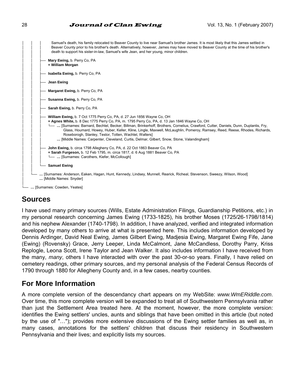Samuel's death, his family relocated to Beaver County to live near Samuel's brother James. It is most likely that this James settled in Beaver County prior to his brother's death. Alternatively, however, James may have moved to Beaver County at the time of his brother's death to support his sister-in-law, Samuel's wife Jean, and her young, minor children. │ │ │ **Mary Ewing, b. Perry Co, PA** │ │ │ **+ William Morgan** │ │ │ **Isabella Ewing, b. Perry Co, PA** │ │ │ │ │ ├── **Jean Ewing** │ │ │ **Margaret Ewing, b. Perry Co, PA** │ │ │ │ │ ├── **Susanna Ewing,** b. Perry Co, PA │ │ │ │ │ ├── **Sarah Ewing,** b. Perry Co, PA │ │ │ William Ewing, b. 7 Oct 1775 Perry Co, PA, d. 27 Jun 1856 Wayne Co, OH + Agnes White, b. 8 Dec 1775 Perry Co, PA, m. 1795 Perry Co, PA, d. 13 Jan 1846 Wayne Co, OH │ │ │ └── **…** [Surnames: Barnard, Bechtel, Becker, Billman, Brinkerhoff, Brothers, Cornelius, Crawford, Cutter, Daniels, Dunn, Duplantis, Fry, Glass, Houmard, Howey, Huber, Keller, Kline, Lingle, Maxwell, McLaughlin, Pomeroy, Ramsey, Reed, Reese, Rhodes, Richards, Roseborogh, Stanley, Testor, Totten, Wachtel, Walters] │ │ │ **…** [Middle Names: Carpenter, Cleveland, Curtis, Delmar, Gilbert, Snow, Stone, Valandingham] │ │ │ John Ewing, b. circa 1798 Allegheny Co, PA, d. 22 Oct 1863 Beaver Co, PA + Sarah Furgeson, b. 12 Feb 1795, m. circa 1817, d. 6 Aug 1881 Beaver Co, PA │ │ │ └── **…** [Surnames: Carothers, Kiefer, McCollough] │ │ │ │ │ └── **Samuel Ewing** │ │ │ └── **…** [Surnames: Anderson, Eaken, Hagan, Hunt, Kennedy, Lindsey, Munnell, Rearick, Richeal, Stevenson, Sweezy, Wilson, Wood] │ **…** [Middle Names: Snyder] - ... [Surnames: Cowden, Yeates]

## **Sources**

│

I have used many primary sources (Wills, Estate Administration Filings, Guardianship Petitions, etc.) in my personal research concerning James Ewing (1733-1825), his brother Moses (1725/26-1798/1814) and his nephew Alexander (1740-1798). In addition, I have analyzed, verified and integrated information developed by many others to arrive at what is presented here. This includes information developed by Dennis Ardinger, David Neal Ewing, James Gilbert Ewing, Madjesia Ewing, Margaret Ewing Fife, Jane (Ewing) (Rovensky) Grace, Jerry Leeper, Linda McCalmont, Jane McCandless, Dorothy Parry, Kriss Replogle, Leona Scott, Irene Taylor and Jean Walker. It also includes information I have received from the many, *many*, others I have interacted with over the past 30-or-so years. Finally, I have relied on cemetery readings, other primary sources, and my personal analysis of the Federal Census Records of 1790 through 1880 for Allegheny County and, in a few cases, nearby counties.

## **For More Information**

A more complete version of the descendancy chart appears on my WebSite: *www.WmERiddle.com*. Over time, this more complete version will be expanded to treat all of Southwestern Pennsylvania rather than just the Settlement Area treated here. At the moment, however, the more complete version: identifies the Ewing settlers' uncles, aunts and siblings that have been omitted in this article (but noted by the use of "…"); provides more extensive discussions of the Ewing settler families as well as, in many cases, annotations for the settlers' children that discuss their residency in Southwestern Pennsylvania and their lives; and explicitly lists my sources.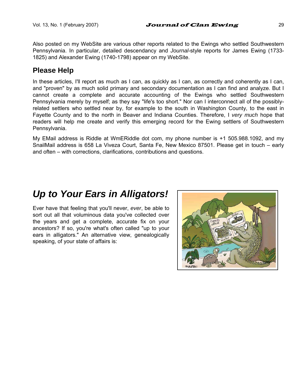Also posted on my WebSite are various other reports related to the Ewings who settled Southwestern Pennsylvania. In particular, detailed descendancy and *Journal*-style reports for James Ewing (1733- 1825) and Alexander Ewing (1740-1798) appear on my WebSite.

## **Please Help**

In these articles, I'll report as much as I can, as quickly as I can, as correctly and coherently as I can, and "proven" by as much solid primary and secondary documentation as I can find and analyze. But I cannot create a complete and accurate accounting of the Ewings who settled Southwestern Pennsylvania merely by myself; as they say "life's too short." Nor can I interconnect all of the possiblyrelated settlers who settled near by, for example to the south in Washington County, to the east in Fayette County and to the north in Beaver and Indiana Counties. Therefore, I *very much* hope that readers will help me create and verify this emerging record for the Ewing settlers of Southwestern Pennsylvania.

My EMail address is Riddle at WmERiddle dot com, my phone number is +1 505.988.1092, and my SnailMail address is 658 La Viveza Court, Santa Fe, New Mexico 87501. Please get in touch – early and often – with corrections, clarifications, contributions and questions.

# *Up to Your Ears in Alligators!*

Ever have that feeling that you'll never, *ever*, be able to sort out all that voluminous data you've collected over the years and get a complete, accurate fix on your ancestors? If so, you're what's often called "up to your ears in alligators." An alternative view, genealogically speaking, of your state of affairs is:

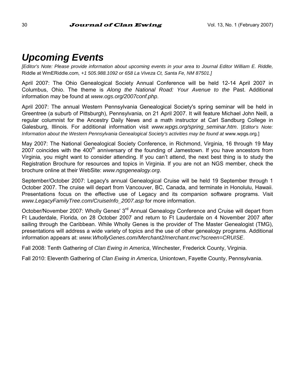# *Upcoming Events*

*[Editor's Note: Please provide information about upcoming events in your area to Journal Editor William E. Riddle,*  Riddle at WmERiddle.com*, +1 505.988.1092 or 658 La Viveza Ct, Santa Fe, NM 87501.]* 

April 2007: The Ohio Genealogical Society Annual Conference will be held 12-14 April 2007 in Columbus, Ohio. The theme is *Along the National Road: Your Avenue to the* Past. Additional information may be found at *www.ogs.org/2007conf.php*.

April 2007: The annual Western Pennsylvania Genealogical Society's spring seminar will be held in Greentree (a suburb of Pittsburgh), Pennsylvania, on 21 April 2007. It will feature Michael John Neill, a regular columnist for the Ancestry Daily News and a math instructor at Carl Sandburg College in Galesburg, Illinois. For additional information visit *www.wpgs.org/spring\_seminar.htm*. [*Editor's Note: Information about the Western Pennsylvania Genealogical Society's activities may be found at www.wpgs.org.]* 

May 2007: The National Genealogical Society Conference, in Richmond, Virginia, 16 through 19 May 2007 coincides with the 400<sup>th</sup> anniversary of the founding of Jamestown. If you have ancestors from Virginia, you might want to consider attending. If you can't attend, the next best thing is to study the Registration Brochure for resources and topics in Virginia. If you are not an NGS member, check the brochure online at their WebSite: *www.ngsgenealogy.org*.

September/October 2007: Legacy's annual Genealogical Cruise will be held 19 September through 1 October 2007. The cruise will depart from Vancouver, BC, Canada, and terminate in Honolulu, Hawaii. Presentations focus on the effective use of Legacy and its companion software programs. Visit *www.LegacyFamilyTree.com/CruiseInfo\_2007.asp* for more information.

October/November 2007: Wholly Genes' 3<sup>rd</sup> Annual Genealogy Conference and Cruise will depart from Ft Lauderdale, Florida, on 28 October 2007 and return to Ft Lauderdale on 4 November 2007 after sailing through the Caribbean. While Wholly Genes is the provider of The Master Genealogist (TMG), presentations will address a wide variety of topics and the use of other genealogy programs. Additional information appears at: *www.WhollyGenes.com/Merchant2/merchant.mvc?screen=CRUISE*.

Fall 2008: Tenth Gathering of *Clan Ewing in America*, Winchester, Frederick County, Virginia.

Fall 2010: Eleventh Gathering of *Clan Ewing in America*, Uniontown, Fayette County, Pennsylvania.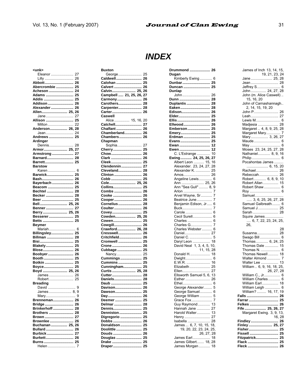**Drummond .................... 26** 

*INDEX* 

| <unk></unk>         |          |
|---------------------|----------|
| Eleanor             | 27       |
| Lilly               | 26       |
| Abbott              | 26       |
| Abercrombie         | 25       |
| Acheson             | 24       |
| Adams               | 25       |
| Addis               | 25       |
| Addison             | 26       |
| Alexander           | 26       |
| Allen 25,           | 26       |
| Jane                | 27       |
| Allison             | 25       |
| Milton              | 22       |
| Anderson 26,        | 28       |
| Jean                | 24       |
| Andrews             | 25       |
| Ardinger            |          |
| Dennis              | 28       |
|                     |          |
| Armor 25,           | 27       |
| Armstrong           | 27       |
| Barnard             | 28       |
| Barrett             | 25       |
| <b>Barstow</b>      |          |
| Karen               | 6        |
| Barwick             | 25       |
| Bash                | 26       |
| Bayerbach           | 26       |
| Beacom              | 25       |
| Bechtel             | 28       |
| Becker              | 28       |
| Beer                | 25       |
|                     |          |
| Bell 25,            | 26       |
| Benner              | 27       |
| Berry 25,           | 26       |
| Besserer            | 25       |
| Betts               | 25       |
| Beymer              |          |
| Mariah              | 6        |
| Billingsley         | 25       |
| Billman             | 28       |
| Bisi                | 25       |
| Blakely             | 25       |
| Blose               | 26       |
| Boobyer             | 26       |
| Booth               | 25       |
| Botkin              | 25       |
| Boyce               | 25       |
| Boyd  25,           | 26       |
| James               | 26       |
|                     |          |
| Robert              | 25       |
| Breading            |          |
| David               |          |
| James 8, 9          | 9        |
|                     |          |
| Mary                | 9        |
| Brenneman           | 26       |
| Bridge              | 26       |
| <b>Brinkerhoff </b> | 28       |
| Brothers            | 28       |
| Brown               | 27       |
|                     | 26       |
| Brownlee            |          |
| Buchanan  25, 26    |          |
| Bullard             | 26       |
| Burbick             | 27       |
| Burkett<br>Burns    | 26<br>25 |

Helen ........................... 7

George....................... 25 **Caldwell......................... 26 Calohan ......................... 25 Calvert ........................... 26 Calvin....................... 25, 26 Campbell ..... 21, 25, 26, 27 Carmony........................ 26 Carothers....................... 28 Carpenter....................... 28 Carter............................. 26 Caswell**  Alice............... 15, 16, 20 **Catchell.......................... 27 Chalfant ......................... 26 Chamberland................. 26 Chambers...................... 26 Chapman**  Sophia........................ 27 **Cherry............................ 25 Chow.............................. 26 Clark .............................. 26 Cleek.............................. 25 Clendennin.................... 27 Cleveland....................... 28 Clinton ........................... 26 Cobb .............................. 25 Cole.......................... 25, 26 Collins............................ 25 Combs ........................... 26 Cooke ............................ 26 Cooper........................... 26 Cornelius....................... 28 Coulter........................... 26 Covey............................. 25 Cowden.................... 25, 26 Cowen............................ 25 Cowgill........................... 26 Crawford.................. 26, 28 Cresswell....................... 26 Critchfield...................... 26 Cromwell ....................... 25 Crone ............................. 26 Cubbage ........................ 25**  Nancy......................... 25 **Cummings..................... 25 Cummins ....................... 25 Cunningham.................. 25 Curtis ....................... 25, 28 Cutter............................. 28 Daniels........................... 28 Daub .............................. 25 Davison.......................... 26 Dawson.......................... 25 Day................................. 26 Deemer .......................... 25 Delmar ........................... 28 Dennis............................ 25 Denniston...................... 25 Digregorio ..................... 25 Dobbs ............................ 26 Donaldson..................... 25 Doolittle ......................... 25 Douds ............................ 26 Douglas ......................... 25 Drake ............................. 25 Draper............................ 25** 

**Buxton** 

| лип<br>ш<br><br>Dugan                      |
|--------------------------------------------|
| Kimberly Ewing  6                          |
| 25<br>Dunbar                               |
| 25<br>Duncan                               |
| Dunlap                                     |
| John<br>26                                 |
| Dunn<br>28                                 |
| Duplantis<br>28                            |
| Eaken<br>28                                |
| Edison<br>26                               |
| Elder<br>25                                |
| Ellis<br>26                                |
| Ellwood<br>26                              |
| 25<br>Emberson                             |
| 25<br>Emery                                |
| 25<br>Erdman                               |
| Evans<br>25                                |
| Ewan<br>12                                 |
| Ewen<br>12                                 |
| C. L'Estrange<br>10                        |
| Ewing  24, 25, 26, 27                      |
| Albert Leon  15, 16                        |
| Alexander. 23, 24, 27, 28                  |
| Alexander K.  25                           |
| Amos<br>26                                 |
| Angeline Lewis 6                           |
|                                            |
|                                            |
|                                            |
| Arvel Wayne, Sr<br>7                       |
| Beatrice June<br>7                         |
| Benjamin Edison, Jr 6                      |
| Buck<br>7                                  |
|                                            |
| Cecil Surell 6                             |
| Charles<br>6<br>Charles G<br>7             |
| Charles Webster 6                          |
| Daniel 27                                  |
| Daniel C.  5                               |
| Daryl Leon  18                             |
|                                            |
| David Neal 1, 3, 4, 5, 10,<br>11, 15, 28   |
| Donald H<br>18                             |
| Dwight 6                                   |
| 16<br>E.W.R.                               |
| Elizabeth 25                               |
| Ellen 27                                   |
| Ellsworth Samuel 5, 6, 13                  |
| Esther  26                                 |
|                                            |
| George Alexander 5                         |
| George Samuel<br>6                         |
| George William  5                          |
| $\overline{7}$<br>Grace Fox                |
| Guy Raymond<br>13                          |
| Hannah Jane  27                            |
| Harold Walter 13                           |
| Henry  27                                  |
|                                            |
|                                            |
|                                            |
| 26, 27, 28                                 |
|                                            |
| James Earl<br>18                           |
| James Gilbert 18, 28<br>James Morgan<br>18 |

| James of Inch 13, 14, 15,<br>19, 21, 23, 24<br>Jeffrey S 6<br>John  24, 27, 28<br>John (m. Alice Caswell)                                                            |
|----------------------------------------------------------------------------------------------------------------------------------------------------------------------|
| 15, 16, 20<br>John of Carnashannagh<br>Leah 27<br>Lewis M 6<br>Margaret Mary 7<br>Nathaniel 8, 9, 16<br>Philip  6<br>Pocahontas James                                |
| $\cdots$ 6, 15, 20<br>Robert 6, 8, 9, 10<br>Robert Allan 15<br>Robert Shaw 6<br>Roy  6<br>Samuel<br>$\ldots$ 3, 6, 25, 26, 27, 28<br>Samuel Galbreath 6<br>Sarah  28 |
| Squire James<br>$\frac{1}{6}$ , 7, 22, 23, 24, 25,<br>26.                                                                                                            |
| 28<br>Susanna 28<br>Swago Bill 6<br>Thomas 6, 24, 25<br>Thomas Dale  15<br>Thomas N.  6<br>Thomas Newell 18<br>26, 27, 28                                            |
| William C., Jr 6<br>William Charles 6<br>William Earl 18<br>William?  16, 17, 19<br>Falls  26<br>Farrar  25                                                          |
| Findley 26<br>Finley 25, 27<br>Fissell  25<br>Fitzpatrick 25<br>Flack  25<br>Fleck<br>26                                                                             |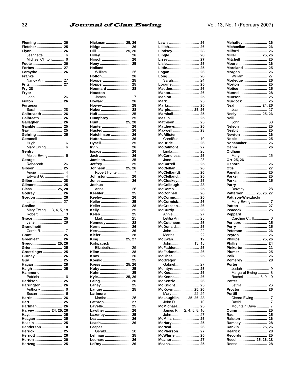### **Journal of Clan Ewing**

| leming                       | 26                               |
|------------------------------|----------------------------------|
| Fletcher                     | 25                               |
| Flynn                        | 26                               |
| Jeannette<br>Michael Clinton | 6<br>6                           |
| Foote                        | 26                               |
| Forbes                       | 27                               |
| Forsythe                     | 26                               |
| Franks                       |                                  |
| Nancy Ann                    | 27                               |
| Fritz                        | 27                               |
| <b>Fry 28</b>                |                                  |
| Fryor                        |                                  |
| John                         | 26                               |
| Fulton                       | 26                               |
| Furgeson                     |                                  |
| Sarah<br>Galbreadth          | 28<br>26                         |
| Galbreath                    | 26                               |
| Gallagher                    | 26                               |
| Gamble                       | 25                               |
| Gay                          | 25                               |
| Gehring                      | 25                               |
| Gemmell                      |                                  |
|                              |                                  |
| Mary Ewing                   | 6                                |
| Gentry                       |                                  |
| Melba Ewing                  | 6                                |
| George                       |                                  |
| Rebeccah                     | 26                               |
|                              | 25                               |
|                              | $\overline{4}$<br>$\overline{4}$ |
| Edward G.<br>Gilbert         | 28                               |
|                              |                                  |
|                              |                                  |
|                              |                                  |
|                              |                                  |
| Godrey                       | 26                               |
| Gordon                       | 26<br>27                         |
| Jane<br>Gosline              |                                  |
| Mary Ewing 3, 4, 5,          | 18                               |
| Robert                       | 3                                |
| Grace                        | 25                               |
| Jane                         | 28                               |
| Grandinetti                  |                                  |
| Carrie R.                    | 7                                |
| Grant                        | 25                               |
| Greenleaf                    | 26                               |
| Gregg 25, 26                 |                                  |
| Grier                        | 25<br>25                         |
| Groetzinger                  | 26                               |
| Gurney<br>Guy                | 25                               |
| Hagan                        | 28                               |
| laigh                        | 25                               |
| Hammond                      |                                  |
| Patricia                     | 6                                |
| Harbison                     | 25                               |
| Harrington                   | 26                               |
| Anthony  6                   |                                  |
| Susan                        | 6                                |
| Harris                       | 26                               |
| Hart                         | 25<br>26                         |
| Hartman                      |                                  |
| Harvey  24, 25, 26<br>Hays   | 25                               |
| Heagan                       | 25                               |
| Heakin                       | 25                               |
| Henderson                    | 10                               |
| Herrick                      | 25                               |
| Herriott                     | 26                               |
| Herron<br>Hertzog            | 26<br>25                         |

 $32$ 

| Hickman  25, 26                    |                |
|------------------------------------|----------------|
| Hidge  26                          |                |
| Hill  25, 26<br>Hilley 26          |                |
| Hirsch 26                          |                |
| Hoey  25                           |                |
| Holland                            |                |
| William                            | 25             |
| Holton<br>Hooper                   | 26<br>25       |
| Hopper                             | 25             |
| Houmard                            | 28             |
| Houston                            |                |
| James                              | $\overline{7}$ |
| Howard 26<br>Howey 28              |                |
| Huber 28                           |                |
| Hulf  25                           |                |
| Humphrey  25                       |                |
| Hunt 25, 28<br>Hunter 26           |                |
| Husted 26                          |                |
| Hutchinson  26                     |                |
|                                    |                |
|                                    |                |
|                                    |                |
| Jack  26                           |                |
| Jamison 25                         |                |
| Jeffrey                            | 25             |
| Johnson  25, 26<br>Robert Hunter 7 |                |
| Johnston                           | 26             |
| Jones                              | 26             |
| Joshua                             |                |
| Anne                               | 26             |
| Keebler<br>Keeley                  | 25<br>26       |
| Keiler                             | 25             |
| Keller                             | 28             |
| Kelly                              | 25             |
| Kelso  25<br>Mark  25              |                |
| Kennedy 28                         |                |
|                                    |                |
|                                    |                |
| Kiefer                             | 28             |
| King  25, 27<br>Kirkpatrick        |                |
| Elizabeth                          | 25             |
| Kline                              | 28             |
| Knox                               | 26             |
| Koenig                             | 25             |
| Kress 25, 26<br>Kuby               | 25             |
| Kuhn                               | 25             |
| Kyle 25, 26                        |                |
| Laing 26                           |                |
| Laney 25<br>Langer  25             |                |
| Larimore                           |                |
| Martha                             | 25             |
| Lathrop 27                         |                |
| LaVelle 25                         |                |
| Lawther  26<br>Lazenby 25          |                |
|                                    |                |
| Leach 26                           |                |
| Leeper                             |                |
| Gerald<br>Lehman  25               | 28             |
| Leonard                            | 26             |
| LeRoy                              | 26             |
|                                    |                |

| Lewis                    |          |
|--------------------------|----------|
|                          | 26       |
| Lillich                  | 26       |
| Lindsey                  | 28       |
|                          |          |
| Lingle                   | 28       |
| Lisey                    | 27       |
| .isle…………………………          | 25       |
|                          |          |
| .ittle                   | 25       |
| .ogan                    | 26       |
|                          |          |
| Long                     | 26       |
| Sarah                    | 24       |
|                          | 25       |
| Loraine                  |          |
| Madden                   | 26       |
| Mahon                    | 26       |
|                          |          |
| <b>Manion</b>            | 25       |
| Mark                     | 25       |
|                          |          |
| Marks                    | 25       |
| Marple 25,               | 26       |
|                          |          |
| Marshall                 | 25       |
| Maslin                   | 25       |
|                          | 25       |
| Mathison                 |          |
| Matthews                 | 25       |
| Maxwell                  | 28       |
|                          |          |
| <b>McAllister</b>        |          |
| CarolSue                 | 10       |
|                          |          |
| McBride                  | 26       |
| McCalmont                | 27       |
|                          | 28       |
| Linda                    |          |
| McCandless               | 25       |
| Jane                     | 28       |
|                          |          |
| McCarrell<br>McClellan   | 25       |
|                          | 26       |
|                          |          |
| McClellan(d)             | 26       |
| McClelland<br>McCluskey  | 25       |
|                          | 25       |
|                          |          |
| McCollough               | 28       |
| McComb                   | 25       |
|                          |          |
| McConnell                | 26       |
|                          |          |
|                          |          |
| McCormic                 | 25       |
| McCormick                | 26       |
|                          |          |
| McCracken                | 26       |
| McCurdy                  | 26       |
|                          | 27       |
| Annie                    |          |
| Letitia Ann              | 25       |
|                          | 25       |
| McCutcheon               |          |
| McDonald                 | 25       |
| John                     | 22       |
|                          | 22       |
| Martha                   |          |
| McEwan                   | 12       |
|                          | 15       |
|                          |          |
| McFadden                 | 25       |
| <br>McFarland            | 26       |
|                          | 25       |
| McGhee                   |          |
| McGregor                 |          |
| Gabriel                  | 27       |
|                          |          |
| McIntyre                 | 25       |
| McKee                    | 25       |
|                          |          |
| McKenna                  | 26       |
| McKenzie                 | 26       |
| McKnight                 | 25       |
|                          |          |
|                          | 26       |
| McKown  25,<br>Mary  22, | 25       |
|                          | 28       |
|                          |          |
|                          | 10       |
|                          | 25       |
|                          |          |
|                          | 10       |
|                          | 27       |
|                          | 25       |
| McMillan                 |          |
| McNary                   | 25       |
| McNeal                   | 26       |
|                          |          |
| McPherson                | 27       |
| McWhirler                | 25       |
| Meanor                   | 27<br>25 |

| Mehaffey                       | 26             |
|--------------------------------|----------------|
| Michaelian                     | 26             |
|                                |                |
| Milford                        | 26             |
| Miller 25, 26                  |                |
|                                | 25             |
| Mitchell                       |                |
| Moore  26                      |                |
| Moreland                       | 25             |
|                                |                |
| Morgan                         | 26             |
| William 27                     |                |
| Morledge                       | 26             |
|                                |                |
| Morton                         | 25             |
| Motice                         | 25             |
| <b>Munnell</b>                 | 28             |
|                                |                |
| Munson                         | 25             |
| Murdock                        | 25             |
| Neal 24,                       | 26             |
|                                |                |
| Jean                           | 27             |
| Neely 25,                      | 26             |
| Neill                          |                |
|                                |                |
| John                           | 30             |
| Nelson                         | 25             |
| Nesbit                         | 25             |
|                                |                |
| Newton                         | 26             |
| Noble                          | 25             |
| Nonamaker                      | 26             |
|                                |                |
| Oehm                           | 26             |
| Oldham                         |                |
|                                |                |
| Mary                           | 26             |
| Orr 25, 26                     |                |
| Osborn                         | 26             |
|                                |                |
| Otis                           | 27             |
| Panella                        | 25             |
|                                | 25             |
| Parker                         |                |
| Parks                          | 25             |
| Parry                          |                |
|                                |                |
| Dorothy                        | 28             |
|                                |                |
|                                |                |
| Patterson 25, 26, 27           |                |
| Pattison-Wierzbicki            |                |
| Mary Ewing                     | $\overline{7}$ |
|                                |                |
|                                |                |
|                                |                |
| Peppard                        |                |
|                                | 6              |
| Caroline C., II                |                |
| Pericord                       | 25             |
| Perry                          | 25             |
|                                |                |
| Peterson 26                    |                |
|                                |                |
| Peyton  26<br>Phillips  25, 26 |                |
|                                |                |
|                                |                |
| Pinkerton 21                   |                |
| Plumer                         | 25             |
| Polk                           | 26             |
|                                |                |
| Pomeroy 28                     |                |
| Porter                         |                |
|                                |                |
|                                |                |
| Margaret Ewing                 | 8              |
| Rachel  8, 9, 10               |                |
| Potter                         |                |
|                                | 26             |
| Letitia                        |                |
| Proctor                        | 26             |
| Purtill                        |                |
|                                | 7              |
| Cleora Ewing                   |                |
| David                          | 7              |
| Mountain Dave                  | $\overline{7}$ |
|                                |                |
| Quinn 25                       |                |
| Rae 25                         |                |
| Ralston                        | 26             |
|                                |                |
|                                |                |
|                                |                |
|                                |                |
|                                | 25             |
|                                |                |
| Reese                          | 28<br>28       |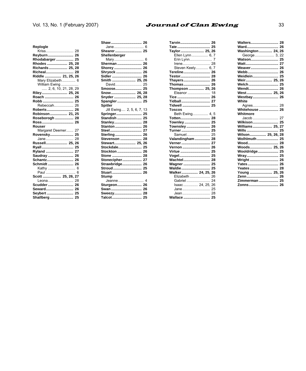### Vol. 13, No. 1 (February 2007)

#### **Journal of Clan Ewing**

| Replogle                    |
|-----------------------------|
| Kriss 28                    |
| Reyburn 26                  |
| Rhodabarger 25              |
| Rhodes  25. 28              |
| Richards  25, 28            |
| Richeal 28                  |
| Riddle  21, 25, 26          |
| Mary Elizabeth 6            |
| William Ewing               |
| 2. 6. 10. 21. 28. 29        |
| Riley 25, 26                |
|                             |
|                             |
| Rebeccah<br>26              |
| Roberts<br>26               |
| Robinson 21. 25             |
| Roseborogh  28              |
|                             |
| Rouser                      |
|                             |
| 27<br>Margaret Deemer       |
| 25<br>Rovensky              |
| 28<br>Jane                  |
| Russell 25. 26              |
| Ryall<br>25                 |
| Ryland<br>27                |
| 26<br>Saudray               |
| 26<br><b>Schantz</b>        |
|                             |
| Kathy  6                    |
|                             |
| Scott  25, 26, 27           |
| Leona<br>28                 |
| 26<br>Scudder               |
| Seward<br>26                |
| Sevbert  25<br>Shallberg 25 |

|                           | Tate 25           |
|---------------------------|-------------------|
| Shearer 25                | Taylor 25, 26     |
| Shellenberger             | Ellen Lynn  6, 7  |
|                           | Erin Lynn 7       |
| Sherman  26               |                   |
| Shorey 26                 | Steven Keely 6, 7 |
| Shryock  26               | Tereline 26       |
| Sidler  26                |                   |
| Smith  25, 26             | Thayers 26        |
| David 25                  | Thomas 26         |
|                           | Thompson  25, 26  |
| Snow 26, 28               | Eleanor  18       |
| Snyder  25, 28            | Tice  26          |
| Spangler 25               |                   |
| Spitler                   |                   |
| Jill Ewing 2, 5, 6, 7, 13 | Toscos            |
| Springer 25               | Beth Ewing 4, 5   |
| Standish  25              | Totten 28         |
| Stanley 28                | Townley 25        |
| Stanton  26               | Townsley 26       |
|                           | Turner  25        |
| Sterling 26               | Samuel 25         |
| Stevenson  28             | Valandingham 28   |
| Stewart 25, 26            |                   |
| Stockdale 25              | Vernon  26        |
| Stockton  26              | Virtue  25        |
|                           | Vogel 25          |
| Stonecipher 27            |                   |
| Strawbridge 26            | Wagner  25        |
|                           |                   |
|                           | Walker 24, 25, 26 |
| Stump                     | Elizabeth 26      |
|                           | Gabriel  24       |
| Sturgeon 26               | Isaac 24, 25, 26  |
| Swan 26                   | Jane 25           |
| Sweezy 28                 |                   |
|                           | Wallace  25       |
|                           |                   |

| Taylor 25, 26     |                |
|-------------------|----------------|
| Ellen Lynn 6, 7   |                |
| Erin Lynn         | $\overline{7}$ |
| Irene             | 28             |
| Steven Keely 6, 7 |                |
| Tereline          | 26             |
| Testor            | 28             |
| Thavers           | 26             |
| Thomas            | 26             |
| Thompson  25, 26  |                |
| Eleanor           | 18             |
| Tice              | 26             |
| Tidball           | 27             |
| Tidwell           | 25             |
| <b>Toscos</b>     |                |
| Beth Ewing 4, 5   |                |
| Totten            | 28             |
| Townley           | 25             |
| Townsley          | 26             |
| <b>Turner</b>     | 25             |
| Samuel            | 25             |
| Valandingham      | 28             |
| Verner            | 27             |
| <b>Vernon</b>     | 26             |
| Virtue            | 25             |
| Vogel             | 25             |
| <b>Wachtel</b>    | 28             |
| Wagner            | 25             |
| Waldie            | 25             |
| Walker 24, 25, 26 |                |
| Elizabeth         | 26             |
| Gabriel           | 24             |
| Isaac 24, 25. 26  |                |
| Jane              | 25             |
| Jean              | 28             |
| Wallace 25        |                |

| Walters 28            |
|-----------------------|
|                       |
| Washington 24, 26     |
| George 3, 22          |
|                       |
|                       |
|                       |
|                       |
| Weidlein 25           |
| Weir 25, 26           |
|                       |
| Wendt 26              |
| West 25.26            |
| Westbay 26            |
| White                 |
|                       |
| <b>Whitehouse  26</b> |
| Whitmore              |
|                       |
| Wilkison 25           |
| Williams 25, 27       |
|                       |
| Wilson 25, 26, 28     |
| <b>Wolhlmuth 25</b>   |
| Wood 28               |
| Woods 25, 26          |
| Wooldridge 25         |
| Wray 25               |
|                       |
|                       |
| Yeates  28            |
| Young  25, 26         |
|                       |
| Zimmerman  25         |
| Zonns 26              |
|                       |